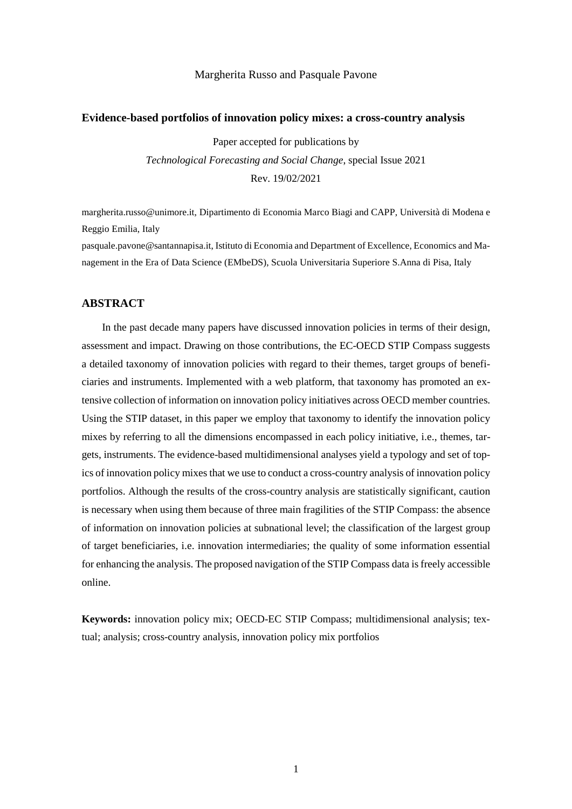# Margherita Russo and Pasquale Pavone

## **Evidence-based portfolios of innovation policy mixes: a cross-country analysis**

Paper accepted for publications by *Technological Forecasting and Social Change*, special Issue 2021 Rev. 19/02/2021

margherita.russo@unimore.it, Dipartimento di Economia Marco Biagi and CAPP, Università di Modena e Reggio Emilia, Italy

[pasquale.pavone@santannapisa.it,](mailto:pasquale.pavone@santannapisa.it) Istituto di Economia and Department of Excellence, Economics and Management in the Era of Data Science (EMbeDS), Scuola Universitaria Superiore S.Anna di Pisa, Italy

# **ABSTRACT**

In the past decade many papers have discussed innovation policies in terms of their design, assessment and impact. Drawing on those contributions, the EC-OECD STIP Compass suggests a detailed taxonomy of innovation policies with regard to their themes, target groups of beneficiaries and instruments. Implemented with a web platform, that taxonomy has promoted an extensive collection of information on innovation policy initiatives across OECD member countries. Using the STIP dataset, in this paper we employ that taxonomy to identify the innovation policy mixes by referring to all the dimensions encompassed in each policy initiative, i.e., themes, targets, instruments. The evidence-based multidimensional analyses yield a typology and set of topics of innovation policy mixes that we use to conduct a cross-country analysis of innovation policy portfolios. Although the results of the cross-country analysis are statistically significant, caution is necessary when using them because of three main fragilities of the STIP Compass: the absence of information on innovation policies at subnational level; the classification of the largest group of target beneficiaries, i.e. innovation intermediaries; the quality of some information essential for enhancing the analysis. The proposed navigation of the STIP Compass data is freely accessible online.

**Keywords:** innovation policy mix; OECD-EC STIP Compass; multidimensional analysis; textual; analysis; cross-country analysis, innovation policy mix portfolios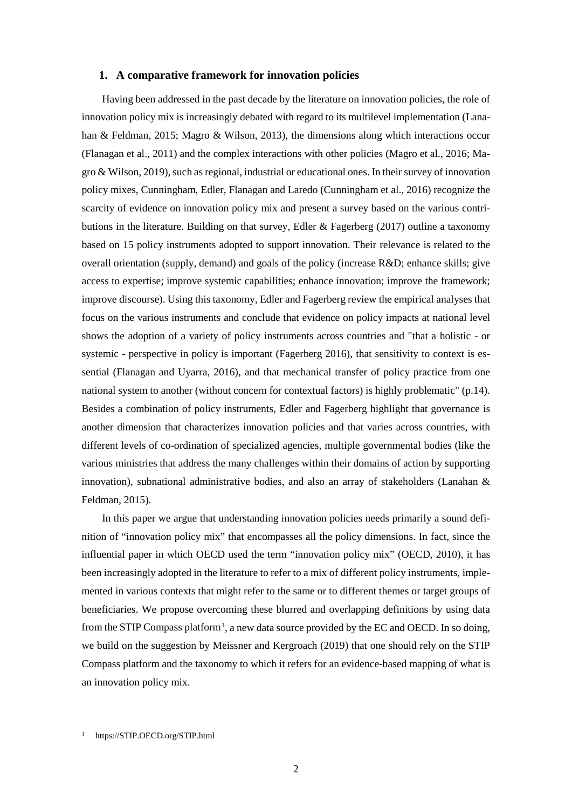# **1. A comparative framework for innovation policies**

Having been addressed in the past decade by the literature on innovation policies, the role of innovation policy mix is increasingly debated with regard to its multilevel implementation (Lanahan & Feldman, 2015; Magro & Wilson, 2013), the dimensions along which interactions occur (Flanagan et al., 2011) and the complex interactions with other policies (Magro et al., 2016; Magro & Wilson, 2019), such as regional, industrial or educational ones. In their survey of innovation policy mixes, Cunningham, Edler, Flanagan and Laredo (Cunningham et al., 2016) recognize the scarcity of evidence on innovation policy mix and present a survey based on the various contributions in the literature. Building on that survey, Edler  $\&$  Fagerberg (2017) outline a taxonomy based on 15 policy instruments adopted to support innovation. Their relevance is related to the overall orientation (supply, demand) and goals of the policy (increase R&D; enhance skills; give access to expertise; improve systemic capabilities; enhance innovation; improve the framework; improve discourse). Using this taxonomy, Edler and Fagerberg review the empirical analyses that focus on the various instruments and conclude that evidence on policy impacts at national level shows the adoption of a variety of policy instruments across countries and "that a holistic - or systemic - perspective in policy is important (Fagerberg 2016), that sensitivity to context is essential (Flanagan and Uyarra, 2016), and that mechanical transfer of policy practice from one national system to another (without concern for contextual factors) is highly problematic" (p.14). Besides a combination of policy instruments, Edler and Fagerberg highlight that governance is another dimension that characterizes innovation policies and that varies across countries, with different levels of co-ordination of specialized agencies, multiple governmental bodies (like the various ministries that address the many challenges within their domains of action by supporting innovation), subnational administrative bodies, and also an array of stakeholders (Lanahan & Feldman, 2015).

In this paper we argue that understanding innovation policies needs primarily a sound definition of "innovation policy mix" that encompasses all the policy dimensions. In fact, since the influential paper in which OECD used the term "innovation policy mix" (OECD, 2010), it has been increasingly adopted in the literature to refer to a mix of different policy instruments, implemented in various contexts that might refer to the same or to different themes or target groups of beneficiaries. We propose overcoming these blurred and overlapping definitions by using data from the STIP Compass platform<sup>[1](#page-1-0)</sup>, a new data source provided by the EC and OECD. In so doing, we build on the suggestion by Meissner and Kergroach (2019) that one should rely on the STIP Compass platform and the taxonomy to which it refers for an evidence-based mapping of what is an innovation policy mix.

<span id="page-1-0"></span><sup>1</sup> [https://STIP.OECD.org/STIP.html](https://stip.oecd.org/stip.html)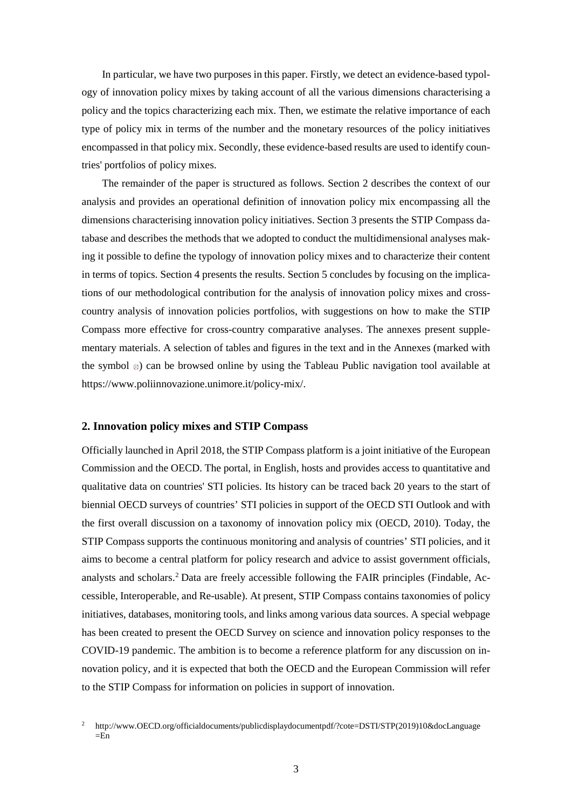In particular, we have two purposes in this paper. Firstly, we detect an evidence-based typology of innovation policy mixes by taking account of all the various dimensions characterising a policy and the topics characterizing each mix. Then, we estimate the relative importance of each type of policy mix in terms of the number and the monetary resources of the policy initiatives encompassed in that policy mix. Secondly, these evidence-based results are used to identify countries' portfolios of policy mixes.

The remainder of the paper is structured as follows. Section 2 describes the context of our analysis and provides an operational definition of innovation policy mix encompassing all the dimensions characterising innovation policy initiatives. Section 3 presents the STIP Compass database and describes the methods that we adopted to conduct the multidimensional analyses making it possible to define the typology of innovation policy mixes and to characterize their content in terms of topics. Section 4 presents the results. Section 5 concludes by focusing on the implications of our methodological contribution for the analysis of innovation policy mixes and crosscountry analysis of innovation policies portfolios, with suggestions on how to make the STIP Compass more effective for cross-country comparative analyses. The annexes present supplementary materials. A selection of tables and figures in the text and in the Annexes (marked with the symbol  $\ast$ ) can be browsed online by using the Tableau Public navigation tool available at https://www.poliinnovazione.unimore.it/policy-mix/.

# **2. Innovation policy mixes and STIP Compass**

Officially launched in April 2018, the STIP Compass platform is a joint initiative of the European Commission and the OECD. The portal, in English, hosts and provides access to quantitative and qualitative data on countries' STI policies. Its history can be traced back 20 years to the start of biennial OECD surveys of countries' STI policies in support of the OECD STI Outlook and with the first overall discussion on a taxonomy of innovation policy mix (OECD, 2010). Today, the STIP Compass supports the continuous monitoring and analysis of countries' STI policies, and it aims to become a central platform for policy research and advice to assist government officials, analysts and scholars. [2](#page-2-0) Data are freely accessible following the FAIR principles (Findable, Accessible, Interoperable, and Re-usable). At present, STIP Compass contains taxonomies of policy initiatives, databases, monitoring tools, and links among various data sources. A special webpage has been created to present the OECD Survey on science and innovation policy responses to the COVID-19 pandemic. The ambition is to become a reference platform for any discussion on innovation policy, and it is expected that both the OECD and the European Commission will refer to the STIP Compass for information on policies in support of innovation.

<span id="page-2-0"></span><sup>2</sup> http://www.OECD.org/officialdocuments/publicdisplaydocumentpdf/?cote=DSTI/STP(2019)10&docLanguage  $=$ En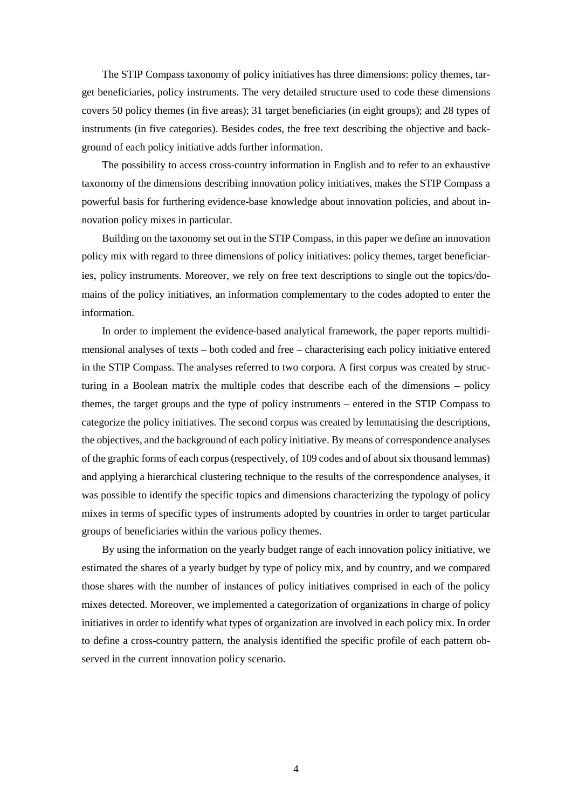The STIP Compass taxonomy of policy initiatives has three dimensions: policy themes, target beneficiaries, policy instruments. The very detailed structure used to code these dimensions covers 50 policy themes (in five areas); 31 target beneficiaries (in eight groups); and 28 types of instruments (in five categories). Besides codes, the free text describing the objective and background of each policy initiative adds further information.

The possibility to access cross-country information in English and to refer to an exhaustive taxonomy of the dimensions describing innovation policy initiatives, makes the STIP Compass a powerful basis for furthering evidence-base knowledge about innovation policies, and about innovation policy mixes in particular.

Building on the taxonomy set out in the STIP Compass, in this paper we define an innovation policy mix with regard to three dimensions of policy initiatives: policy themes, target beneficiaries, policy instruments. Moreover, we rely on free text descriptions to single out the topics/domains of the policy initiatives, an information complementary to the codes adopted to enter the information.

In order to implement the evidence-based analytical framework, the paper reports multidimensional analyses of texts – both coded and free – characterising each policy initiative entered in the STIP Compass. The analyses referred to two corpora. A first corpus was created by structuring in a Boolean matrix the multiple codes that describe each of the dimensions – policy themes, the target groups and the type of policy instruments – entered in the STIP Compass to categorize the policy initiatives. The second corpus was created by lemmatising the descriptions, the objectives, and the background of each policy initiative. By means of correspondence analyses of the graphic forms of each corpus(respectively, of 109 codes and of about six thousand lemmas) and applying a hierarchical clustering technique to the results of the correspondence analyses, it was possible to identify the specific topics and dimensions characterizing the typology of policy mixes in terms of specific types of instruments adopted by countries in order to target particular groups of beneficiaries within the various policy themes.

By using the information on the yearly budget range of each innovation policy initiative, we estimated the shares of a yearly budget by type of policy mix, and by country, and we compared those shares with the number of instances of policy initiatives comprised in each of the policy mixes detected. Moreover, we implemented a categorization of organizations in charge of policy initiatives in order to identify what types of organization are involved in each policy mix. In order to define a cross-country pattern, the analysis identified the specific profile of each pattern observed in the current innovation policy scenario.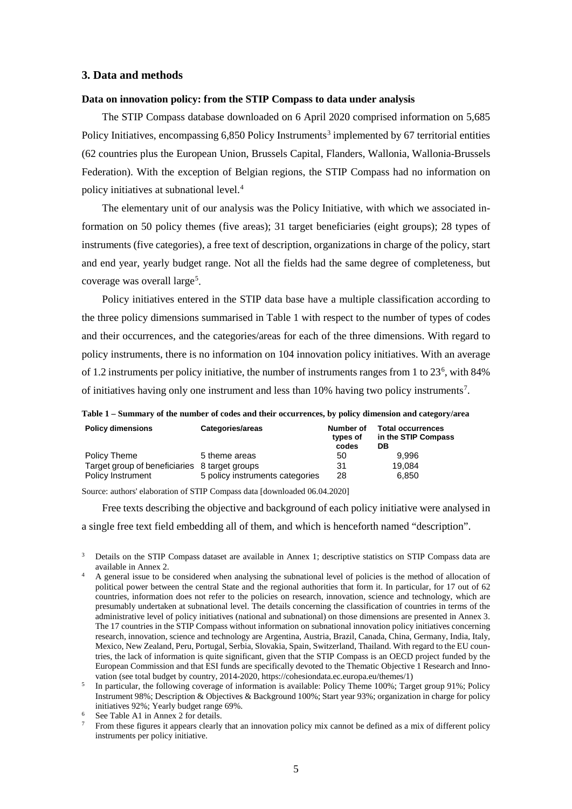# **3. Data and methods**

# **Data on innovation policy: from the STIP Compass to data under analysis**

The STIP Compass database downloaded on 6 April 2020 comprised information on 5,685 Policy Initiatives, encompassing  $6,850$  Policy Instruments<sup>[3](#page-4-0)</sup> implemented by 67 territorial entities (62 countries plus the European Union, Brussels Capital, Flanders, Wallonia, Wallonia-Brussels Federation). With the exception of Belgian regions, the STIP Compass had no information on policy initiatives at subnational level. [4](#page-4-1)

The elementary unit of our analysis was the Policy Initiative, with which we associated information on 50 policy themes (five areas); 31 target beneficiaries (eight groups); 28 types of instruments (five categories), a free text of description, organizations in charge of the policy, start and end year, yearly budget range. Not all the fields had the same degree of completeness, but coverage was overall large<sup>[5](#page-4-2)</sup>.

Policy initiatives entered in the STIP data base have a multiple classification according to the three policy dimensions summarised in Table 1 with respect to the number of types of codes and their occurrences, and the categories/areas for each of the three dimensions. With regard to policy instruments, there is no information on 104 innovation policy initiatives. With an average of 1.2 instruments per policy initiative, the number of instruments ranges from 1 to 23<sup>[6](#page-4-3)</sup>, with 84% of initiatives having only one instrument and less than 10% having two policy instruments<sup>[7](#page-4-4)</sup>.

**Table 1 – Summary of the number of codes and their occurrences, by policy dimension and category/area**

| <b>Policy dimensions</b>                      | Categories/areas                | Number of<br>types of<br>codes | <b>Total occurrences</b><br>in the STIP Compass<br>DВ |
|-----------------------------------------------|---------------------------------|--------------------------------|-------------------------------------------------------|
| Policy Theme                                  | 5 theme areas                   | 50                             | 9.996                                                 |
| Target group of beneficiaries 8 target groups |                                 | 31                             | 19,084                                                |
| <b>Policy Instrument</b>                      | 5 policy instruments categories | 28                             | 6.850                                                 |

Source: authors' elaboration of STIP Compass data [downloaded 06.04.2020]

Free texts describing the objective and background of each policy initiative were analysed in

a single free text field embedding all of them, and which is henceforth named "description".

- <span id="page-4-0"></span><sup>3</sup> Details on the STIP Compass dataset are available in Annex 1; descriptive statistics on STIP Compass data are available in Annex 2.
- <span id="page-4-1"></span><sup>4</sup> A general issue to be considered when analysing the subnational level of policies is the method of allocation of political power between the central State and the regional authorities that form it. In particular, for 17 out of 62 countries, information does not refer to the policies on research, innovation, science and technology, which are presumably undertaken at subnational level. The details concerning the classification of countries in terms of the administrative level of policy initiatives (national and subnational) on those dimensions are presented in Annex 3. The 17 countries in the STIP Compass without information on subnational innovation policy initiatives concerning research, innovation, science and technology are Argentina, Austria, Brazil, Canada, China, Germany, India, Italy, Mexico, New Zealand, Peru, Portugal, Serbia, Slovakia, Spain, Switzerland, Thailand. With regard to the EU countries, the lack of information is quite significant, given that the STIP Compass is an OECD project funded by the European Commission and that ESI funds are specifically devoted to the Thematic Objective 1 Research and Innovation (see total budget by country, 2014-2020, https://cohesiondata.ec.europa.eu/themes/1)
- <span id="page-4-2"></span><sup>5</sup> In particular, the following coverage of information is available: Policy Theme 100%; Target group 91%; Policy Instrument 98%; Description & Objectives & Background 100%; Start year 93%; organization in charge for policy initiatives 92%; Yearly budget range 69%.
- <span id="page-4-4"></span><span id="page-4-3"></span> $\frac{6}{7}$  See Table A1 in Annex 2 for details.
- From these figures it appears clearly that an innovation policy mix cannot be defined as a mix of different policy instruments per policy initiative.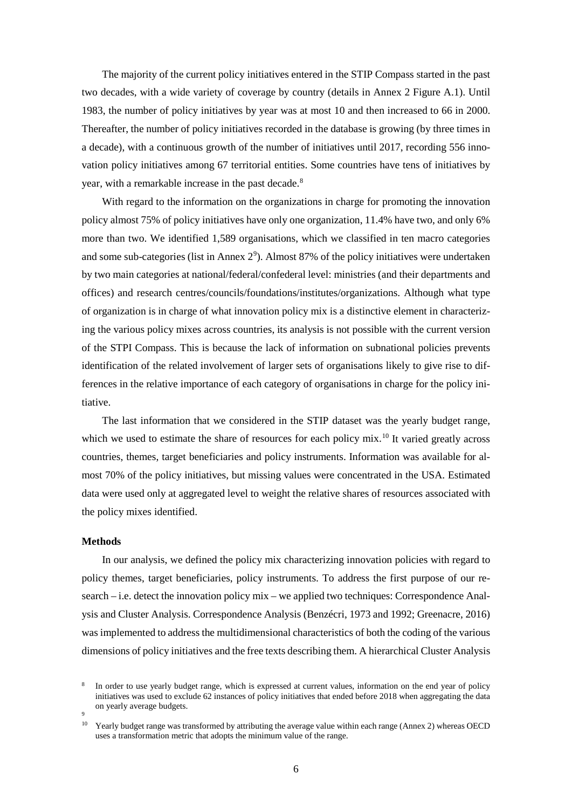The majority of the current policy initiatives entered in the STIP Compass started in the past two decades, with a wide variety of coverage by country (details in Annex 2 Figure A.1). Until 1983, the number of policy initiatives by year was at most 10 and then increased to 66 in 2000. Thereafter, the number of policy initiatives recorded in the database is growing (by three times in a decade), with a continuous growth of the number of initiatives until 2017, recording 556 innovation policy initiatives among 67 territorial entities. Some countries have tens of initiatives by year, with a remarkable increase in the past decade. [8](#page-5-0)

With regard to the information on the organizations in charge for promoting the innovation policy almost 75% of policy initiatives have only one organization, 11.4% have two, and only 6% more than two. We identified 1,589 organisations, which we classified in ten macro categories and some sub-categories (list in Annex  $2^9$  $2^9$ ). Almost 87% of the policy initiatives were undertaken by two main categories at national/federal/confederal level: ministries (and their departments and offices) and research centres/councils/foundations/institutes/organizations. Although what type of organization is in charge of what innovation policy mix is a distinctive element in characterizing the various policy mixes across countries, its analysis is not possible with the current version of the STPI Compass. This is because the lack of information on subnational policies prevents identification of the related involvement of larger sets of organisations likely to give rise to differences in the relative importance of each category of organisations in charge for the policy initiative.

The last information that we considered in the STIP dataset was the yearly budget range, which we used to estimate the share of resources for each policy mix.<sup>[10](#page-5-2)</sup> It varied greatly across countries, themes, target beneficiaries and policy instruments. Information was available for almost 70% of the policy initiatives, but missing values were concentrated in the USA. Estimated data were used only at aggregated level to weight the relative shares of resources associated with the policy mixes identified.

# **Methods**

In our analysis, we defined the policy mix characterizing innovation policies with regard to policy themes, target beneficiaries, policy instruments. To address the first purpose of our research – i.e. detect the innovation policy mix – we applied two techniques: Correspondence Analysis and Cluster Analysis. Correspondence Analysis (Benzécri, 1973 and 1992; Greenacre, 2016) was implemented to address the multidimensional characteristics of both the coding of the various dimensions of policy initiatives and the free texts describing them. A hierarchical Cluster Analysis

<span id="page-5-0"></span>In order to use yearly budget range, which is expressed at current values, information on the end year of policy initiatives was used to exclude 62 instances of policy initiatives that ended before 2018 when aggregating the data on yearly average budgets.

<span id="page-5-2"></span><span id="page-5-1"></span><sup>9</sup>

<sup>&</sup>lt;sup>10</sup> Yearly budget range was transformed by attributing the average value within each range (Annex 2) whereas OECD uses a transformation metric that adopts the minimum value of the range.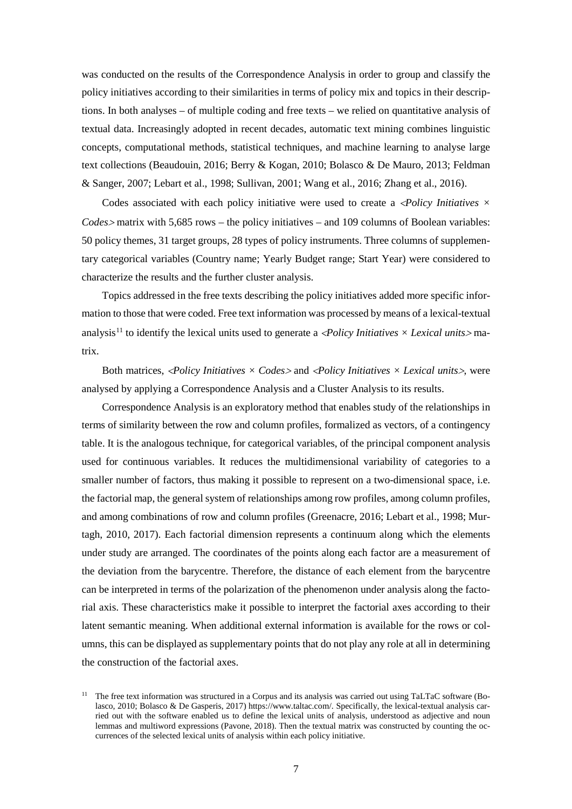was conducted on the results of the Correspondence Analysis in order to group and classify the policy initiatives according to their similarities in terms of policy mix and topics in their descriptions. In both analyses – of multiple coding and free texts – we relied on quantitative analysis of textual data. Increasingly adopted in recent decades, automatic text mining combines linguistic concepts, computational methods, statistical techniques, and machine learning to analyse large text collections (Beaudouin, 2016; Berry & Kogan, 2010; Bolasco & De Mauro, 2013; Feldman & Sanger, 2007; Lebart et al., 1998; Sullivan, 2001; Wang et al., 2016; Zhang et al., 2016).

Codes associated with each policy initiative were used to create a <*Policy Initiatives × Codes*<sup>&</sup>gt; matrix with 5,685 rows – the policy initiatives – and 109 columns of Boolean variables: 50 policy themes, 31 target groups, 28 types of policy instruments. Three columns of supplementary categorical variables (Country name; Yearly Budget range; Start Year) were considered to characterize the results and the further cluster analysis.

Topics addressed in the free texts describing the policy initiatives added more specific information to those that were coded. Free text information was processed by means of a lexical-textual analysis<sup>[11](#page-6-0)</sup> to identify the lexical units used to generate a  $\langle$ *Policy Initiatives*  $\times$  *Lexical units*  $>$ matrix.

Both matrices, <*Policy Initiatives × Codes*<sup>&</sup>gt; and <*Policy Initiatives × Lexical units*>, were analysed by applying a Correspondence Analysis and a Cluster Analysis to its results.

Correspondence Analysis is an exploratory method that enables study of the relationships in terms of similarity between the row and column profiles, formalized as vectors, of a contingency table. It is the analogous technique, for categorical variables, of the principal component analysis used for continuous variables. It reduces the multidimensional variability of categories to a smaller number of factors, thus making it possible to represent on a two-dimensional space, i.e. the factorial map, the general system of relationships among row profiles, among column profiles, and among combinations of row and column profiles (Greenacre, 2016; Lebart et al., 1998; Murtagh, 2010, 2017). Each factorial dimension represents a continuum along which the elements under study are arranged. The coordinates of the points along each factor are a measurement of the deviation from the barycentre. Therefore, the distance of each element from the barycentre can be interpreted in terms of the polarization of the phenomenon under analysis along the factorial axis. These characteristics make it possible to interpret the factorial axes according to their latent semantic meaning. When additional external information is available for the rows or columns, this can be displayed as supplementary points that do not play any role at all in determining the construction of the factorial axes.

<span id="page-6-0"></span><sup>&</sup>lt;sup>11</sup> The free text information was structured in a Corpus and its analysis was carried out using TaLTaC software (Bolasco, 2010; Bolasco & De Gasperis, 2017) https://www.taltac.com/. Specifically, the lexical-textual analysis carried out with the software enabled us to define the lexical units of analysis, understood as adjective and noun lemmas and multiword expressions (Pavone, 2018). Then the textual matrix was constructed by counting the occurrences of the selected lexical units of analysis within each policy initiative.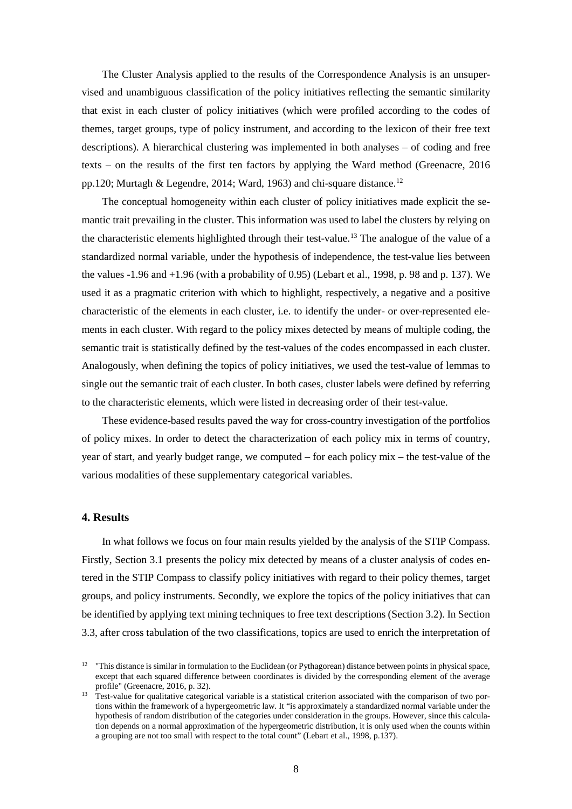The Cluster Analysis applied to the results of the Correspondence Analysis is an unsupervised and unambiguous classification of the policy initiatives reflecting the semantic similarity that exist in each cluster of policy initiatives (which were profiled according to the codes of themes, target groups, type of policy instrument, and according to the lexicon of their free text descriptions). A hierarchical clustering was implemented in both analyses – of coding and free texts – on the results of the first ten factors by applying the Ward method (Greenacre, 2016 pp.[12](#page-7-0)0; Murtagh & Legendre, 2014; Ward, 1963) and chi-square distance.<sup>12</sup>

The conceptual homogeneity within each cluster of policy initiatives made explicit the semantic trait prevailing in the cluster. This information was used to label the clusters by relying on the characteristic elements highlighted through their test-value. [13](#page-7-1) The analogue of the value of a standardized normal variable, under the hypothesis of independence, the test-value lies between the values -1.96 and +1.96 (with a probability of 0.95) (Lebart et al., 1998, p. 98 and p. 137). We used it as a pragmatic criterion with which to highlight, respectively, a negative and a positive characteristic of the elements in each cluster, i.e. to identify the under- or over-represented elements in each cluster. With regard to the policy mixes detected by means of multiple coding, the semantic trait is statistically defined by the test-values of the codes encompassed in each cluster. Analogously, when defining the topics of policy initiatives, we used the test-value of lemmas to single out the semantic trait of each cluster. In both cases, cluster labels were defined by referring to the characteristic elements, which were listed in decreasing order of their test-value.

These evidence-based results paved the way for cross-country investigation of the portfolios of policy mixes. In order to detect the characterization of each policy mix in terms of country, year of start, and yearly budget range, we computed – for each policy mix – the test-value of the various modalities of these supplementary categorical variables.

# **4. Results**

In what follows we focus on four main results yielded by the analysis of the STIP Compass. Firstly, Section 3.1 presents the policy mix detected by means of a cluster analysis of codes entered in the STIP Compass to classify policy initiatives with regard to their policy themes, target groups, and policy instruments. Secondly, we explore the topics of the policy initiatives that can be identified by applying text mining techniques to free text descriptions (Section 3.2). In Section 3.3, after cross tabulation of the two classifications, topics are used to enrich the interpretation of

<span id="page-7-0"></span><sup>&</sup>lt;sup>12</sup> "This distance is similar in formulation to the Euclidean (or Pythagorean) distance between points in physical space, except that each squared difference between coordinates is divided by the corresponding element of the average profile" (Greenacre, 2016, p. 32).

<span id="page-7-1"></span> $13$  Test-value for qualitative categorical variable is a statistical criterion associated with the comparison of two portions within the framework of a hypergeometric law. It "is approximately a standardized normal variable under the hypothesis of random distribution of the categories under consideration in the groups. However, since this calculation depends on a normal approximation of the hypergeometric distribution, it is only used when the counts within a grouping are not too small with respect to the total count" (Lebart et al., 1998, p.137).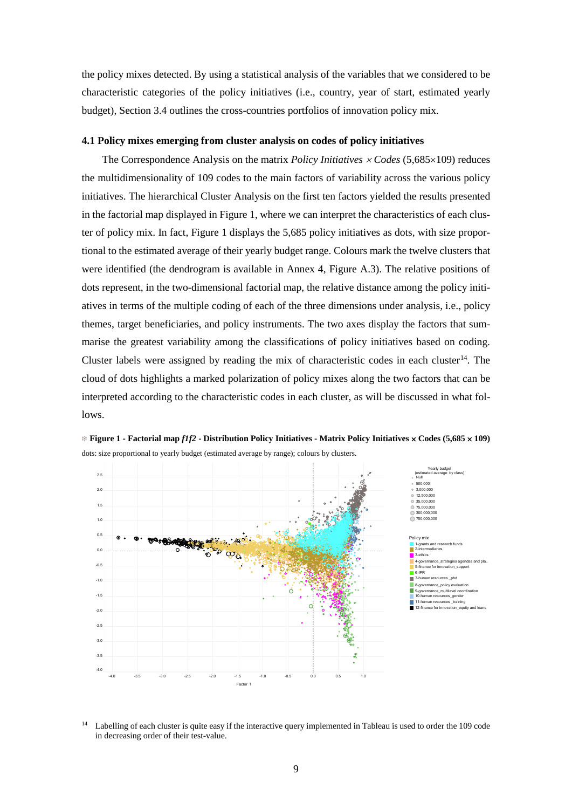the policy mixes detected. By using a statistical analysis of the variables that we considered to be characteristic categories of the policy initiatives (i.e., country, year of start, estimated yearly budget), Section 3.4 outlines the cross-countries portfolios of innovation policy mix.

# **4.1 Policy mixes emerging from cluster analysis on codes of policy initiatives**

The Correspondence Analysis on the matrix *Policy Initiatives* <sup>×</sup> *Codes* (5,685×109) reduces the multidimensionality of 109 codes to the main factors of variability across the various policy initiatives. The hierarchical Cluster Analysis on the first ten factors yielded the results presented in the factorial map displayed in Figure 1, where we can interpret the characteristics of each cluster of policy mix. In fact, Figure 1 displays the 5,685 policy initiatives as dots, with size proportional to the estimated average of their yearly budget range. Colours mark the twelve clusters that were identified (the dendrogram is available in Annex 4, Figure A.3). The relative positions of dots represent, in the two-dimensional factorial map, the relative distance among the policy initiatives in terms of the multiple coding of each of the three dimensions under analysis, i.e., policy themes, target beneficiaries, and policy instruments. The two axes display the factors that summarise the greatest variability among the classifications of policy initiatives based on coding. Cluster labels were assigned by reading the mix of characteristic codes in each cluster<sup>[14](#page-8-0)</sup>. The cloud of dots highlights a marked polarization of policy mixes along the two factors that can be interpreted according to the characteristic codes in each cluster, as will be discussed in what follows.



**Figure 1 - Factorial map** *f1f2* **- Distribution Policy Initiatives - Matrix Policy Initiatives** × **Codes (5,685** × **109)** dots: size proportional to yearly budget (estimated average by range); colours by clusters.

<span id="page-8-0"></span><sup>&</sup>lt;sup>14</sup> Labelling of each cluster is quite easy if the interactive query implemented in Tableau is used to order the 109 code in decreasing order of their test-value.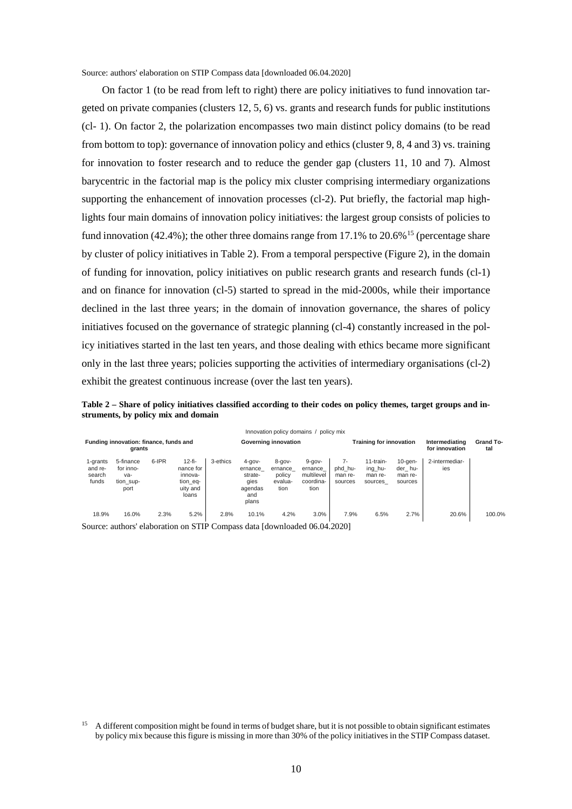Source: authors' elaboration on STIP Compass data [downloaded 06.04.2020]

On factor 1 (to be read from left to right) there are policy initiatives to fund innovation targeted on private companies (clusters 12, 5, 6) vs. grants and research funds for public institutions (cl- 1). On factor 2, the polarization encompasses two main distinct policy domains (to be read from bottom to top): governance of innovation policy and ethics (cluster 9, 8, 4 and 3) vs. training for innovation to foster research and to reduce the gender gap (clusters 11, 10 and 7). Almost barycentric in the factorial map is the policy mix cluster comprising intermediary organizations supporting the enhancement of innovation processes (cl-2). Put briefly, the factorial map highlights four main domains of innovation policy initiatives: the largest group consists of policies to fund innovation (42.4%); the other three domains range from 17.1% to  $20.6\%$ <sup>[15](#page-9-0)</sup> (percentage share by cluster of policy initiatives in Table 2). From a temporal perspective (Figure 2), in the domain of funding for innovation, policy initiatives on public research grants and research funds (cl-1) and on finance for innovation (cl-5) started to spread in the mid-2000s, while their importance declined in the last three years; in the domain of innovation governance, the shares of policy initiatives focused on the governance of strategic planning (cl-4) constantly increased in the policy initiatives started in the last ten years, and those dealing with ethics became more significant only in the last three years; policies supporting the activities of intermediary organisations (cl-2) exhibit the greatest continuous increase (over the last ten years).

**Table 2 – Share of policy initiatives classified according to their codes on policy themes, target groups and instruments, by policy mix and domain** 

|                                                  |                                                    |       |                                                                   |          |                                                                      |                                                     | Innovation policy domains / policy mix                    |                                     |                                            |                                             |                                  |                  |
|--------------------------------------------------|----------------------------------------------------|-------|-------------------------------------------------------------------|----------|----------------------------------------------------------------------|-----------------------------------------------------|-----------------------------------------------------------|-------------------------------------|--------------------------------------------|---------------------------------------------|----------------------------------|------------------|
| Funding innovation: finance, funds and<br>grants |                                                    |       |                                                                   |          | Governing innovation                                                 |                                                     |                                                           |                                     | <b>Training for innovation</b>             |                                             | Intermediating<br>for innovation | Grand To-<br>tal |
| 1-grants<br>and re-<br>search<br>funds           | 5-finance<br>for inno-<br>va-<br>tion sup-<br>port | 6-IPR | $12-fi-$<br>nance for<br>innova-<br>tion_eq-<br>uity and<br>loans | 3-ethics | $4 - qov -$<br>ernance<br>strate-<br>qies<br>agendas<br>and<br>plans | $8 - qov -$<br>ernance<br>policy<br>evalua-<br>tion | $9 - qov -$<br>ernance<br>multilevel<br>coordina-<br>tion | 7-<br>phd hu-<br>man re-<br>sources | 11-train-<br>ing hu-<br>man re-<br>sources | $10$ -gen-<br>der_hu-<br>man re-<br>sources | 2-intermediar-<br>ies            |                  |
| 18.9%                                            | 16.0%                                              | 2.3%  | 5.2%                                                              | 2.8%     | 10.1%                                                                | 4.2%                                                | 3.0%                                                      | 7.9%                                | 6.5%                                       | 2.7%                                        | 20.6%                            | 100.0%           |

<span id="page-9-0"></span><sup>&</sup>lt;sup>15</sup> A different composition might be found in terms of budget share, but it is not possible to obtain significant estimates by policy mix because this figure is missing in more than 30% of the policy initiatives in the STIP Compass dataset.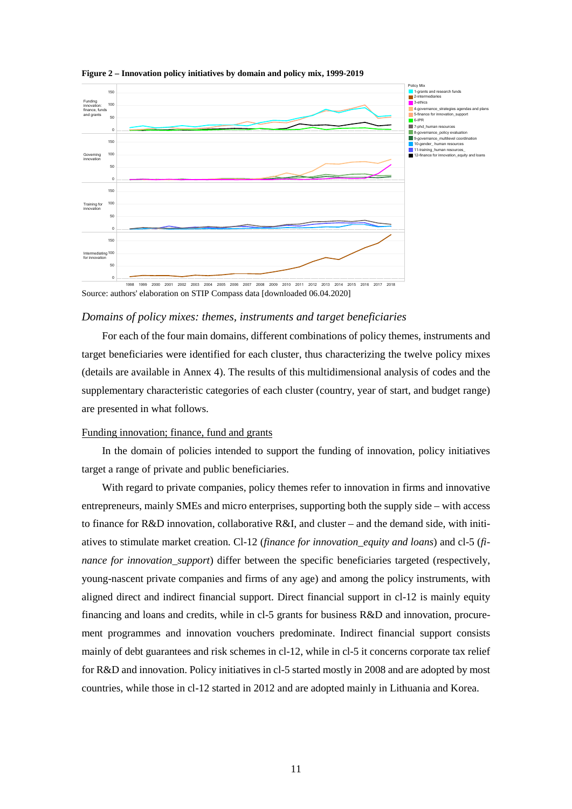

**Figure 2 – Innovation policy initiatives by domain and policy mix, 1999-2019**

Source: authors' elaboration on STIP Compass data [downloaded 06.04.2020]

## *Domains of policy mixes: themes, instruments and target beneficiaries*

For each of the four main domains, different combinations of policy themes, instruments and target beneficiaries were identified for each cluster, thus characterizing the twelve policy mixes (details are available in Annex 4). The results of this multidimensional analysis of codes and the supplementary characteristic categories of each cluster (country, year of start, and budget range) are presented in what follows.

# Funding innovation; finance, fund and grants

In the domain of policies intended to support the funding of innovation, policy initiatives target a range of private and public beneficiaries.

With regard to private companies, policy themes refer to innovation in firms and innovative entrepreneurs, mainly SMEs and micro enterprises, supporting both the supply side – with access to finance for R&D innovation, collaborative R&I, and cluster – and the demand side, with initiatives to stimulate market creation. Cl-12 (*finance for innovation\_equity and loans*) and cl-5 (*finance for innovation support*) differ between the specific beneficiaries targeted (respectively, young-nascent private companies and firms of any age) and among the policy instruments, with aligned direct and indirect financial support. Direct financial support in cl-12 is mainly equity financing and loans and credits, while in cl-5 grants for business R&D and innovation, procurement programmes and innovation vouchers predominate. Indirect financial support consists mainly of debt guarantees and risk schemes in cl-12, while in cl-5 it concerns corporate tax relief for R&D and innovation. Policy initiatives in cl-5 started mostly in 2008 and are adopted by most countries, while those in cl-12 started in 2012 and are adopted mainly in Lithuania and Korea.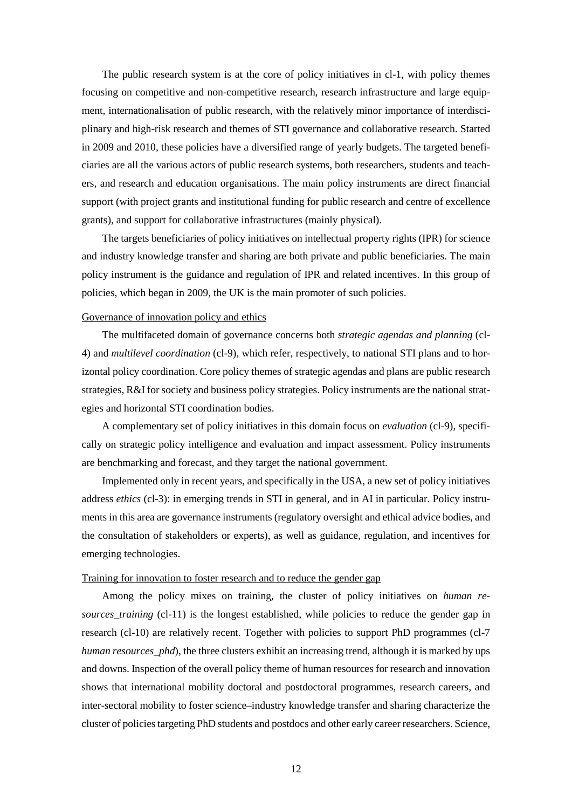The public research system is at the core of policy initiatives in cl-1, with policy themes focusing on competitive and non-competitive research, research infrastructure and large equipment, internationalisation of public research, with the relatively minor importance of interdisciplinary and high-risk research and themes of STI governance and collaborative research. Started in 2009 and 2010, these policies have a diversified range of yearly budgets. The targeted beneficiaries are all the various actors of public research systems, both researchers, students and teachers, and research and education organisations. The main policy instruments are direct financial support (with project grants and institutional funding for public research and centre of excellence grants), and support for collaborative infrastructures (mainly physical).

The targets beneficiaries of policy initiatives on intellectual property rights (IPR) for science and industry knowledge transfer and sharing are both private and public beneficiaries. The main policy instrument is the guidance and regulation of IPR and related incentives. In this group of policies, which began in 2009, the UK is the main promoter of such policies.

## Governance of innovation policy and ethics

The multifaceted domain of governance concerns both *strategic agendas and planning* (cl-4) and *multilevel coordination* (cl-9), which refer, respectively, to national STI plans and to horizontal policy coordination. Core policy themes of strategic agendas and plans are public research strategies, R&I for society and business policy strategies. Policy instruments are the national strategies and horizontal STI coordination bodies.

A complementary set of policy initiatives in this domain focus on *evaluation* (cl-9), specifically on strategic policy intelligence and evaluation and impact assessment. Policy instruments are benchmarking and forecast, and they target the national government.

Implemented only in recent years, and specifically in the USA, a new set of policy initiatives address *ethics* (cl-3): in emerging trends in STI in general, and in AI in particular. Policy instruments in this area are governance instruments (regulatory oversight and ethical advice bodies, and the consultation of stakeholders or experts), as well as guidance, regulation, and incentives for emerging technologies.

## Training for innovation to foster research and to reduce the gender gap

Among the policy mixes on training, the cluster of policy initiatives on *human resources*\_*training* (cl-11) is the longest established, while policies to reduce the gender gap in research (cl-10) are relatively recent. Together with policies to support PhD programmes (cl-7 *human resources\_phd*), the three clusters exhibit an increasing trend, although it is marked by ups and downs. Inspection of the overall policy theme of human resources for research and innovation shows that international mobility doctoral and postdoctoral programmes, research careers, and inter-sectoral mobility to foster science–industry knowledge transfer and sharing characterize the cluster of policies targeting PhD students and postdocs and other early career researchers. Science,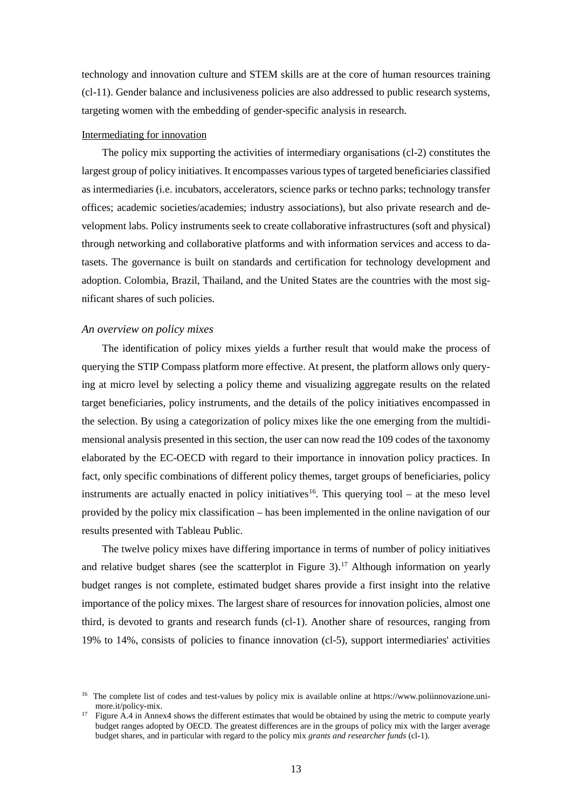technology and innovation culture and STEM skills are at the core of human resources training (cl-11). Gender balance and inclusiveness policies are also addressed to public research systems, targeting women with the embedding of gender-specific analysis in research.

# Intermediating for innovation

The policy mix supporting the activities of intermediary organisations (cl-2) constitutes the largest group of policy initiatives. It encompasses various types of targeted beneficiaries classified as intermediaries (i.e. incubators, accelerators, science parks or techno parks; technology transfer offices; academic societies/academies; industry associations), but also private research and development labs. Policy instruments seek to create collaborative infrastructures (soft and physical) through networking and collaborative platforms and with information services and access to datasets. The governance is built on standards and certification for technology development and adoption. Colombia, Brazil, Thailand, and the United States are the countries with the most significant shares of such policies.

# *An overview on policy mixes*

The identification of policy mixes yields a further result that would make the process of querying the STIP Compass platform more effective. At present, the platform allows only querying at micro level by selecting a policy theme and visualizing aggregate results on the related target beneficiaries, policy instruments, and the details of the policy initiatives encompassed in the selection. By using a categorization of policy mixes like the one emerging from the multidimensional analysis presented in this section, the user can now read the 109 codes of the taxonomy elaborated by the EC-OECD with regard to their importance in innovation policy practices. In fact, only specific combinations of different policy themes, target groups of beneficiaries, policy instruments are actually enacted in policy initiatives<sup>16</sup>. This querying tool – at the meso level provided by the policy mix classification – has been implemented in the online navigation of our results presented with Tableau Public.

The twelve policy mixes have differing importance in terms of number of policy initiatives and relative budget shares (see the scatterplot in Figure 3). [17](#page-12-1) Although information on yearly budget ranges is not complete, estimated budget shares provide a first insight into the relative importance of the policy mixes. The largest share of resources for innovation policies, almost one third, is devoted to grants and research funds (cl-1). Another share of resources, ranging from 19% to 14%, consists of policies to finance innovation (cl-5), support intermediaries' activities

<span id="page-12-0"></span><sup>&</sup>lt;sup>16</sup> The complete list of codes and test-values by policy mix is available online at https://www.poliinnovazione.unimore.it/policy-mix.

<span id="page-12-1"></span><sup>&</sup>lt;sup>17</sup> Figure A.4 in Annex4 shows the different estimates that would be obtained by using the metric to compute yearly budget ranges adopted by OECD. The greatest differences are in the groups of policy mix with the larger average budget shares, and in particular with regard to the policy mix *grants and researcher funds* (cl-1).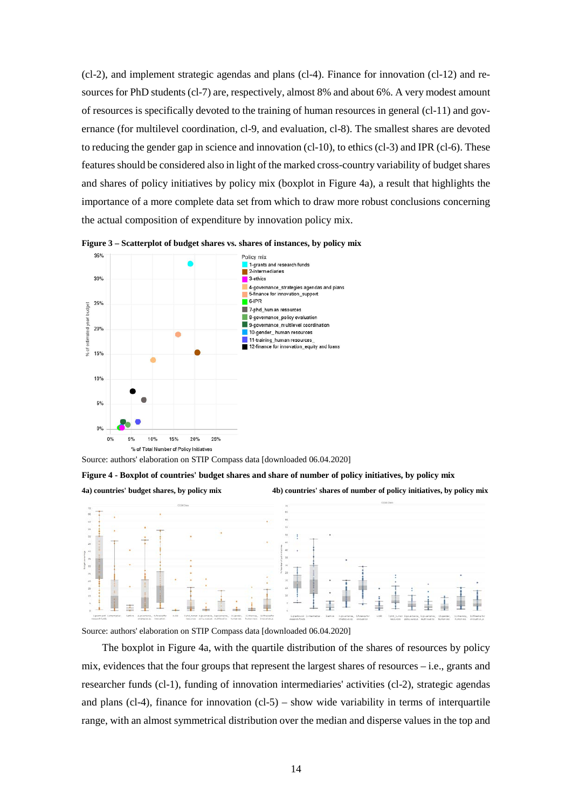(cl-2), and implement strategic agendas and plans (cl-4). Finance for innovation (cl-12) and resources for PhD students (cl-7) are, respectively, almost 8% and about 6%. A very modest amount of resources is specifically devoted to the training of human resources in general (cl-11) and governance (for multilevel coordination, cl-9, and evaluation, cl-8). The smallest shares are devoted to reducing the gender gap in science and innovation (cl-10), to ethics (cl-3) and IPR (cl-6). These features should be considered also in light of the marked cross-country variability of budget shares and shares of policy initiatives by policy mix (boxplot in Figure 4a), a result that highlights the importance of a more complete data set from which to draw more robust conclusions concerning the actual composition of expenditure by innovation policy mix.





Source: authors' elaboration on STIP Compass data [downloaded 06.04.2020]

**Figure 4 - Boxplot of countries' budget shares and share of number of policy initiatives, by policy mix** 

**4a) countries' budget shares, by policy mix 4b) countries' shares of number of policy initiatives, by policy mix** 



Source: authors' elaboration on STIP Compass data [downloaded 06.04.2020]

The boxplot in Figure 4a, with the quartile distribution of the shares of resources by policy mix, evidences that the four groups that represent the largest shares of resources – i.e., grants and researcher funds (cl-1), funding of innovation intermediaries' activities (cl-2), strategic agendas and plans (cl-4), finance for innovation (cl-5) – show wide variability in terms of interquartile range, with an almost symmetrical distribution over the median and disperse values in the top and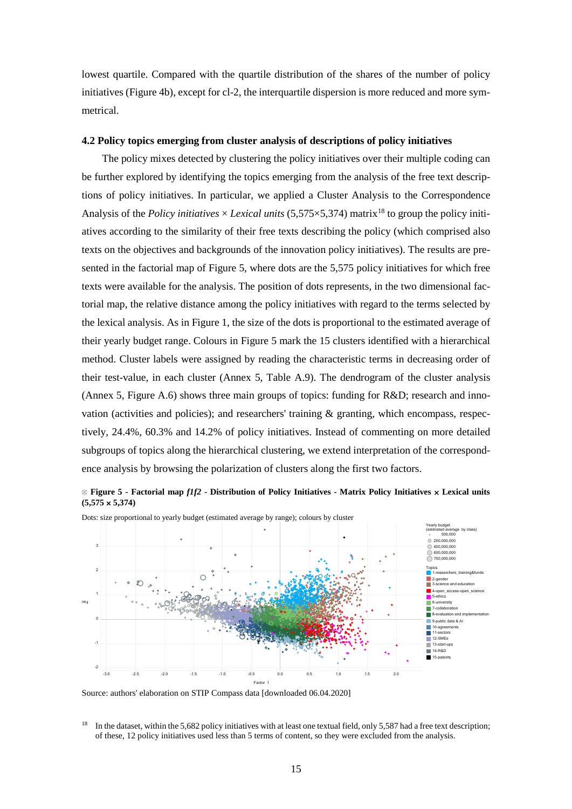lowest quartile. Compared with the quartile distribution of the shares of the number of policy initiatives (Figure 4b), except for cl-2, the interquartile dispersion is more reduced and more symmetrical.

# **4.2 Policy topics emerging from cluster analysis of descriptions of policy initiatives**

The policy mixes detected by clustering the policy initiatives over their multiple coding can be further explored by identifying the topics emerging from the analysis of the free text descriptions of policy initiatives. In particular, we applied a Cluster Analysis to the Correspondence Analysis of the *Policy initiatives*  $\times$  *Lexical units* (5,575 $\times$ 5,374) matrix<sup>[18](#page-14-0)</sup> to group the policy initiatives according to the similarity of their free texts describing the policy (which comprised also texts on the objectives and backgrounds of the innovation policy initiatives). The results are presented in the factorial map of Figure 5, where dots are the 5,575 policy initiatives for which free texts were available for the analysis. The position of dots represents, in the two dimensional factorial map, the relative distance among the policy initiatives with regard to the terms selected by the lexical analysis. As in Figure 1, the size of the dots is proportional to the estimated average of their yearly budget range. Colours in Figure 5 mark the 15 clusters identified with a hierarchical method. Cluster labels were assigned by reading the characteristic terms in decreasing order of their test-value, in each cluster (Annex 5, Table A.9). The dendrogram of the cluster analysis (Annex 5, Figure A.6) shows three main groups of topics: funding for R&D; research and innovation (activities and policies); and researchers' training & granting, which encompass, respectively, 24.4%, 60.3% and 14.2% of policy initiatives. Instead of commenting on more detailed subgroups of topics along the hierarchical clustering, we extend interpretation of the correspondence analysis by browsing the polarization of clusters along the first two factors.





Dots: size proportional to yearly budget (estimated average by range); colours by cluster

Source: authors' elaboration on STIP Compass data [downloaded 06.04.2020]

<span id="page-14-0"></span><sup>&</sup>lt;sup>18</sup> In the dataset, within the 5,682 policy initiatives with at least one textual field, only 5,587 had a free text description; of these, 12 policy initiatives used less than 5 terms of content, so they were excluded from the analysis.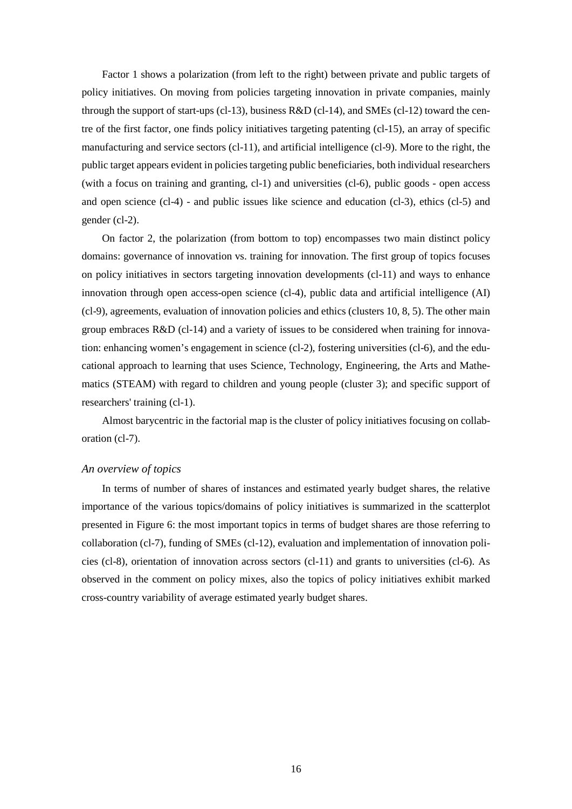Factor 1 shows a polarization (from left to the right) between private and public targets of policy initiatives. On moving from policies targeting innovation in private companies, mainly through the support of start-ups (cl-13), business R&D (cl-14), and SMEs (cl-12) toward the centre of the first factor, one finds policy initiatives targeting patenting (cl-15), an array of specific manufacturing and service sectors (cl-11), and artificial intelligence (cl-9). More to the right, the public target appears evident in policies targeting public beneficiaries, both individual researchers (with a focus on training and granting, cl-1) and universities (cl-6), public goods - open access and open science (cl-4) - and public issues like science and education (cl-3), ethics (cl-5) and gender (cl-2).

On factor 2, the polarization (from bottom to top) encompasses two main distinct policy domains: governance of innovation vs. training for innovation. The first group of topics focuses on policy initiatives in sectors targeting innovation developments (cl-11) and ways to enhance innovation through open access-open science (cl-4), public data and artificial intelligence (AI) (cl-9), agreements, evaluation of innovation policies and ethics (clusters 10, 8, 5). The other main group embraces R&D (cl-14) and a variety of issues to be considered when training for innovation: enhancing women's engagement in science (cl-2), fostering universities (cl-6), and the educational approach to learning that uses Science, Technology, Engineering, the Arts and Mathematics (STEAM) with regard to children and young people (cluster 3); and specific support of researchers' training (cl-1).

Almost barycentric in the factorial map is the cluster of policy initiatives focusing on collaboration (cl-7).

# *An overview of topics*

In terms of number of shares of instances and estimated yearly budget shares, the relative importance of the various topics/domains of policy initiatives is summarized in the scatterplot presented in Figure 6: the most important topics in terms of budget shares are those referring to collaboration (cl-7), funding of SMEs (cl-12), evaluation and implementation of innovation policies (cl-8), orientation of innovation across sectors (cl-11) and grants to universities (cl-6). As observed in the comment on policy mixes, also the topics of policy initiatives exhibit marked cross-country variability of average estimated yearly budget shares.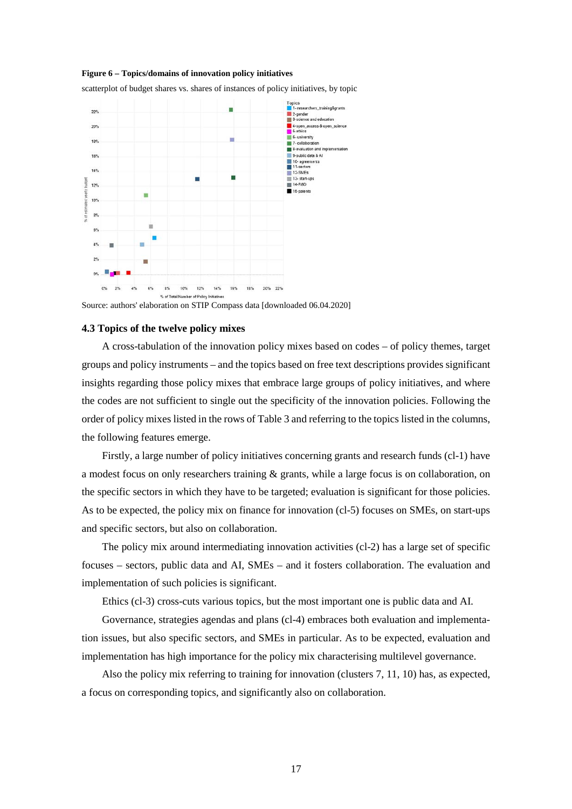### **Figure 6 – Topics/domains of innovation policy initiatives**

scatterplot of budget shares vs. shares of instances of policy initiatives, by topic



Source: authors' elaboration on STIP Compass data [downloaded 06.04.2020]

### **4.3 Topics of the twelve policy mixes**

A cross-tabulation of the innovation policy mixes based on codes – of policy themes, target groups and policy instruments – and the topics based on free text descriptions provides significant insights regarding those policy mixes that embrace large groups of policy initiatives, and where the codes are not sufficient to single out the specificity of the innovation policies. Following the order of policy mixes listed in the rows of Table 3 and referring to the topics listed in the columns, the following features emerge.

Firstly, a large number of policy initiatives concerning grants and research funds (cl-1) have a modest focus on only researchers training & grants, while a large focus is on collaboration, on the specific sectors in which they have to be targeted; evaluation is significant for those policies. As to be expected, the policy mix on finance for innovation (cl-5) focuses on SMEs, on start-ups and specific sectors, but also on collaboration.

The policy mix around intermediating innovation activities (cl-2) has a large set of specific focuses – sectors, public data and AI, SMEs – and it fosters collaboration. The evaluation and implementation of such policies is significant.

Ethics (cl-3) cross-cuts various topics, but the most important one is public data and AI.

Governance, strategies agendas and plans (cl-4) embraces both evaluation and implementation issues, but also specific sectors, and SMEs in particular. As to be expected, evaluation and implementation has high importance for the policy mix characterising multilevel governance.

Also the policy mix referring to training for innovation (clusters 7, 11, 10) has, as expected, a focus on corresponding topics, and significantly also on collaboration.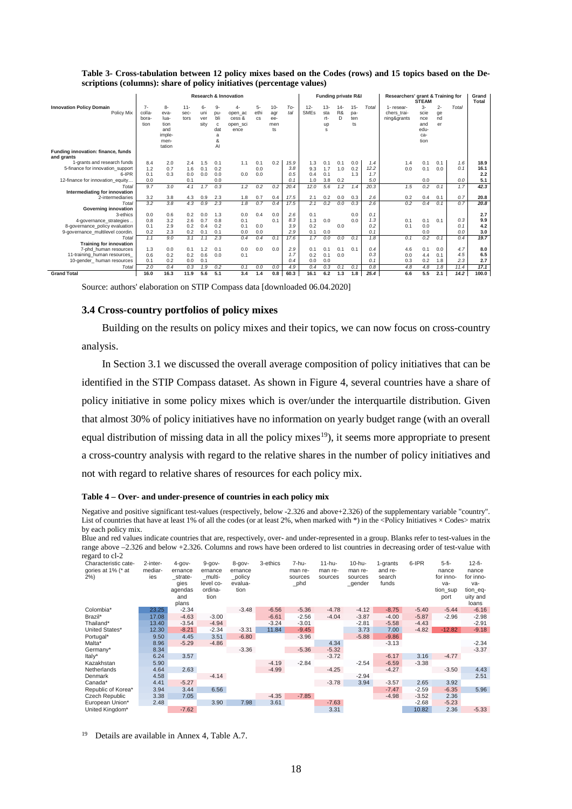|                                    | <b>Research &amp; Innovation</b> |        |        |      |              |          |           | <b>Funding private R&amp;I</b> |      |             |           | Researchers' grant & Training for<br><b>STEAM</b> |        |       | Grand<br><b>Total</b> |       |       |       |       |
|------------------------------------|----------------------------------|--------|--------|------|--------------|----------|-----------|--------------------------------|------|-------------|-----------|---------------------------------------------------|--------|-------|-----------------------|-------|-------|-------|-------|
| <b>Innovation Policy Domain</b>    | $7-$                             | 8-     | $11 -$ | 6-   | 9-           |          | 5-        | $10 -$                         | To-  | $12 -$      | $13 -$    | $14 -$                                            | $15 -$ | Total | 1- resear-            | $3 -$ | $2 -$ | Total |       |
| Policy Mix                         | colla-                           | eva-   | sec-   | uni  | DU-          | open ac  | ethi      | agr                            | tal  | <b>SMEs</b> | sta       | R&                                                | pa-    |       | chers trai-           | scie  | ge    |       |       |
|                                    | bora-                            | lua-   | tors   | ver  | bli          | cess &   | <b>CS</b> | ee-                            |      |             | rt-       | D                                                 | ten    |       | ning&grants           | nce   | nd    |       |       |
|                                    | tion                             | tion   |        | sity | $\mathbf{c}$ | open sci |           | men                            |      |             | <b>up</b> |                                                   | ts     |       |                       | and   | er    |       |       |
|                                    |                                  | and    |        |      | dat          | ence     |           | ts                             |      |             | s         |                                                   |        |       |                       | edu-  |       |       |       |
|                                    |                                  | imple- |        |      | a            |          |           |                                |      |             |           |                                                   |        |       |                       | ca-   |       |       |       |
|                                    |                                  | men-   |        |      | 8            |          |           |                                |      |             |           |                                                   |        |       |                       | tion  |       |       |       |
| Funding innovation: finance, funds |                                  | tation |        |      | AI           |          |           |                                |      |             |           |                                                   |        |       |                       |       |       |       |       |
| and grants                         |                                  |        |        |      |              |          |           |                                |      |             |           |                                                   |        |       |                       |       |       |       |       |
| 1-grants and research funds        | 8.4                              | 2.0    | 2.4    | 1.5  | 0.1          | 1.1      | 0.1       | 0.2                            | 15.9 | 1.3         | 0.1       | 0.1                                               | 0.0    | 1.4   | 1.4                   | 0.1   | 0.1   | 1.6   | 18.9  |
| 5-finance for innovation support   | 1.2                              | 0.7    | 1.6    | 0.1  | 0.2          |          | 0.0       |                                | 3.8  | 9.3         | 1.7       | 1.0                                               | 0.2    | 12.2  | 0.0                   | 0.1   | 0.0   | 0.1   | 16.1  |
| 6-IPR                              | 0.1                              | 0.3    | 0.0    | 0.0  | 0.0          | 0.0      | 0.0       |                                | 0.5  | 0.4         | 0.1       |                                                   | 1.3    | 1.7   |                       |       |       |       | 2.2   |
| 12-finance for innovation equity   | 0.0                              |        | 0.1    |      | 0.0          |          |           |                                | 0.1  | 1.0         | 3.8       | 0.2                                               |        | 5.0   |                       | 0.0   |       | 0.0   | 5.1   |
| Total                              | 9.7                              | 3.0    | 4.1    | 1.7  | 0.3          | 1.2      | 0.2       | 0.2                            | 20.4 | 12.0        | 5.6       | 1.2                                               | 1.4    | 20.3  | 1.5                   | 0.2   | 0.1   | 1.7   | 42.3  |
| Intermediating for innovation      |                                  |        |        |      |              |          |           |                                |      |             |           |                                                   |        |       |                       |       |       |       |       |
| 2-intermediaries                   | 3.2                              | 3.8    | 4.3    | 0.9  | 2.3          | 1.8      | 0.7       | 0.4                            | 17.5 | 2.1         | 0.2       | 0.0                                               | 0.3    | 2.6   | 0.2                   | 0.4   | 0.1   | 0.7   | 20.8  |
| Total                              | 3.2                              | 3.8    | 4.3    | 0.9  | 2.3          | 1.8      | 0.7       | 0.4                            | 17.5 | 2.1         | 0.2       | 0.0                                               | 0.3    | 2.6   | 0.2                   | 0.4   | 0.1   | 0.7   | 20.8  |
| Governing innovation               |                                  |        |        |      |              |          |           |                                |      |             |           |                                                   |        |       |                       |       |       |       |       |
| 3-ethics                           | 0.0                              | 0.6    | 0.2    | 0.0  | 1.3          | 0.0      | 0.4       | 0.0                            | 2.6  | 0.1         |           |                                                   | 0.0    | 0.1   |                       |       |       |       | 2.7   |
| 4-governance strategies            | 0.8                              | 3.2    | 2.6    | 0.7  | 0.8          | 0.1      |           | 0.1                            | 8.3  | 1.3         | 0.0       |                                                   | 0.0    | 1,3   | 0.1                   | 0.1   | 0.1   | 0.3   | 9.9   |
| 8-governance policy evaluation     | 0.1                              | 2.9    | 0.2    | 0.4  | 0.2          | 0.1      | 0.0       |                                | 3.9  | 0.2         |           | 0.0                                               |        | 0.2   | 0.1                   | 0.0   |       | 0.1   | 4.2   |
| 9-governance multilevel coordin.   | 0.2                              | 2.3    | 0.2    | 0.1  | 0.1          | 0.0      | 0.0       |                                | 2.9  | 0.1         | 0.0       |                                                   |        | 0.1   |                       | 0.0   |       | 0.0   | 3.0   |
| Total                              | 1.1                              | 9.0    | 3.1    | 1.1  | 2.3          | 0.4      | 0.4       | 0.1                            | 17.6 | 1.7         | 0.0       | 0.0                                               | 0.1    | 1.8   | 0.1                   | 0.2   | 0.1   | 0.4   | 19.7  |
| <b>Training for innovation</b>     |                                  |        |        |      |              |          |           |                                |      |             |           |                                                   |        |       |                       |       |       |       |       |
| 7-phd human resources              | 1.3                              | 0.0    | 0.1    | 1.2  | 0.1          | 0.0      | 0.0       | 0.0                            | 2.9  | 0.1         | 0.1       | 0.1                                               | 0.1    | 0.4   | 4.6                   | 0.1   | 0.0   | 4.7   | 8.0   |
| 11-training human resources        | 0.6                              | 0.2    | 0.2    | 0.6  | 0.0          | 0.1      |           |                                | 1.7  | 0.2         | 0.1       | 0.0                                               |        | 0.3   | 0.0                   | 4.4   | 0.1   | 4.5   | 6.5   |
| 10-gender human resources          | 0.1                              | 0.2    | 0.0    | 0.1  |              |          |           |                                | 0.4  | 0.0         | 0.0       |                                                   |        | 0.1   | 0.3                   | 0.2   | 1.8   | 2.3   | 2.7   |
| Total                              | 2.0                              | 0.4    | 0.3    | 1.9  | 0.2          | 0.1      | 0.0       | 0.0                            | 4.9  | 0.4         | 0.3       | 0.1                                               | 0.1    | 0.8   | 4.8                   | 4.8   | 1.8   | 11.4  | 17.1  |
| <b>Grand Total</b>                 | 16.0                             | 16.3   | 11.9   | 5.6  | 5.1          | 3.4      | 1.4       | 0.8                            | 60.3 | 16.1        | 6.2       | 1.3                                               | 1.8    | 25.4  | 6.6                   | 5.5   | 2.1   | 14.2  | 100.0 |

**Table 3- Cross-tabulation between 12 policy mixes based on the Codes (rows) and 15 topics based on the Descriptions (columns): share of policy initiatives (percentage values)**

Source: authors' elaboration on STIP Compass data [downloaded 06.04.2020]

# **3.4 Cross-country portfolios of policy mixes**

Building on the results on policy mixes and their topics, we can now focus on cross-country analysis.

In Section 3.1 we discussed the overall average composition of policy initiatives that can be identified in the STIP Compass dataset. As shown in Figure 4, several countries have a share of policy initiative in some policy mixes which is over/under the interquartile distribution. Given that almost 30% of policy initiatives have no information on yearly budget range (with an overall equal distribution of missing data in all the policy mixes<sup>[19](#page-17-0)</sup>), it seems more appropriate to present a cross-country analysis with regard to the relative shares in the number of policy initiatives and not with regard to relative shares of resources for each policy mix.

### **Table 4 – Over- and under-presence of countries in each policy mix**

Negative and positive significant test-values (respectively, below -2.326 and above+2.326) of the supplementary variable "country". List of countries that have at least 1% of all the codes (or at least 2%, when marked with \*) in the <Policy Initiatives × Codes> matrix by each policy mix.

Blue and red values indicate countries that are, respectively, over- and under-represented in a group. Blanks refer to test-values in the range above –2.326 and below +2.326. Columns and rows have been ordered to list countries in decreasing order of test-value with regard to cl-2

| $\epsilon$ <sub>b</sub> ara to $\epsilon$ <i>i</i> $\epsilon$<br>Characteristic cate-<br>gories at 1% (* at<br>$2\%)$ | 2-inter-<br>mediar-<br>ies | $4 - gov -$<br>ernance<br>strate-<br>qies<br>agendas<br>and<br>plans | $9 - gov -$<br>ernance<br>multi-<br>level co-<br>ordina-<br>tion | 8-gov-<br>ernance<br>_policy<br>evalua-<br>tion | 3-ethics | 7-hu-<br>man re-<br>sources<br>$\_phd$ | $11-hu-$<br>man re-<br>sources | 10-hu-<br>man re-<br>sources<br>$_$ gender | 1-grants<br>and re-<br>search<br>funds | 6-IPR   | 5-fi-<br>nance<br>for inno-<br>va-<br>tion sup<br>port | $12-fi-$<br>nance<br>for inno-<br>va-<br>tion_eq-<br>uity and<br>loans |
|-----------------------------------------------------------------------------------------------------------------------|----------------------------|----------------------------------------------------------------------|------------------------------------------------------------------|-------------------------------------------------|----------|----------------------------------------|--------------------------------|--------------------------------------------|----------------------------------------|---------|--------------------------------------------------------|------------------------------------------------------------------------|
| Colombia*                                                                                                             | 23.25                      | $-2.34$                                                              |                                                                  | $-3.48$                                         | $-6.56$  | $-5.36$                                | $-4.78$                        | $-4.12$                                    | $-8.75$                                | $-5.40$ | $-5.44$                                                | $-6.16$                                                                |
| Brazil*                                                                                                               | 17.08                      | $-4.63$                                                              | $-3.00$                                                          |                                                 | $-6.61$  | $-2.56$                                | $-4.04$                        | $-3.87$                                    | $-4.00$                                | $-5.87$ | $-2.96$                                                | $-2.98$                                                                |
| Thailand*                                                                                                             | 13.40                      | $-3.54$                                                              | $-4.94$                                                          |                                                 | $-3.24$  | $-3.01$                                |                                | $-2.81$                                    | $-5.58$                                | $-4.43$ |                                                        | $-2.91$                                                                |
| United States*                                                                                                        | 12.30                      | $-8.21$                                                              | $-2.34$                                                          | $-3.31$                                         | 11.84    | $-9.45$                                |                                | 3.73                                       | 7.00                                   | $-4.82$ | $-12.82$                                               | $-9.18$                                                                |
| Portugal*                                                                                                             | 9.50                       | 4.45                                                                 | 3.51                                                             | $-6.80$                                         |          | $-3.96$                                |                                | $-5.88$                                    | $-9.86$                                |         |                                                        |                                                                        |
| Malta*                                                                                                                | 8.96                       | $-5.29$                                                              | $-4.86$                                                          |                                                 |          |                                        | 4.34                           |                                            | $-3.13$                                |         |                                                        | $-2.34$                                                                |
| Germany*                                                                                                              | 8.34                       |                                                                      |                                                                  | $-3.36$                                         |          | $-5.36$                                | $-5.32$                        |                                            |                                        |         |                                                        | $-3.37$                                                                |
| Italy*                                                                                                                | 6.24                       | 3.57                                                                 |                                                                  |                                                 |          |                                        | $-3.72$                        |                                            | $-6.17$                                | 3.16    | $-4.77$                                                |                                                                        |
| Kazakhstan                                                                                                            | 5.90                       |                                                                      |                                                                  |                                                 | $-4.19$  | $-2.84$                                |                                | $-2.54$                                    | $-6.59$                                | $-3.38$ |                                                        |                                                                        |
| Netherlands                                                                                                           | 4.64                       | 2.63                                                                 |                                                                  |                                                 | $-4.99$  |                                        | $-4.25$                        |                                            | $-4.27$                                |         | $-3.50$                                                | 4.43                                                                   |
| Denmark                                                                                                               | 4.58                       |                                                                      | $-4.14$                                                          |                                                 |          |                                        |                                | $-2.94$                                    |                                        |         |                                                        | 2.51                                                                   |
| Canada*                                                                                                               | 4.41                       | $-5.27$                                                              |                                                                  |                                                 |          |                                        | $-3.78$                        | 3.94                                       | $-3.57$                                | 2.65    | 3.92                                                   |                                                                        |
| Republic of Korea*                                                                                                    | 3.94                       | 3.44                                                                 | 6.56                                                             |                                                 |          |                                        |                                |                                            | $-7.47$                                | $-2.59$ | $-6.35$                                                | 5.96                                                                   |
| Czech Republic                                                                                                        | 3.38                       | 7.05                                                                 |                                                                  |                                                 | $-4.35$  | $-7.85$                                |                                |                                            | $-4.98$                                | $-3.52$ | 2.36                                                   |                                                                        |
| European Union*                                                                                                       | 2.48                       |                                                                      | 3.90                                                             | 7.98                                            | 3.61     |                                        | $-7.63$                        |                                            |                                        | $-2.68$ | $-5.23$                                                |                                                                        |
| United Kingdom*                                                                                                       |                            | $-7.62$                                                              |                                                                  |                                                 |          |                                        | 3.31                           |                                            |                                        | 10.82   | 2.36                                                   | $-5.33$                                                                |

<span id="page-17-0"></span><sup>19</sup> Details are available in Annex 4, Table A.7.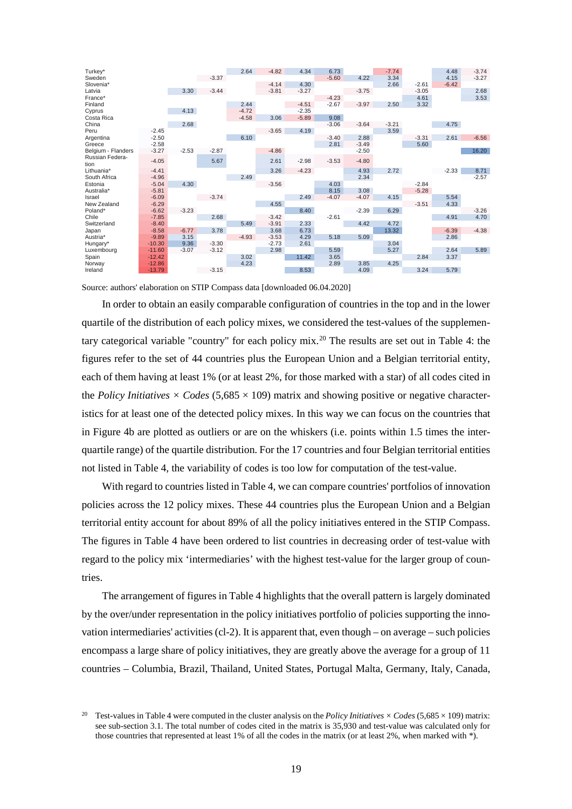| Turkey*            |          |         |         | 2.64    | $-4.82$ | 4.34    | 6.73    |         | $-7.74$ |         | 4.48    | $-3.74$ |
|--------------------|----------|---------|---------|---------|---------|---------|---------|---------|---------|---------|---------|---------|
| Sweden             |          |         | $-3.37$ |         |         |         | $-5.60$ | 4.22    | 3.34    |         | 4.15    | $-3.27$ |
| Slovenia*          |          |         |         |         | $-4.14$ | 4.30    |         |         | 2.66    | $-2.61$ | $-6.42$ |         |
| Latvia             |          | 3.30    | $-3.44$ |         | $-3.81$ | $-3.27$ |         | $-3.75$ |         | $-3.05$ |         | 2.68    |
| France*            |          |         |         |         |         |         | $-4.23$ |         |         | 4.61    |         | 3.53    |
| Finland            |          |         |         | 2.44    |         | $-4.51$ | $-2.67$ | $-3.97$ | 2.50    | 3.32    |         |         |
| Cyprus             |          | 4.13    |         | $-4.72$ |         | $-2.35$ |         |         |         |         |         |         |
| Costa Rica         |          |         |         | $-4.58$ | 3.06    | $-5.89$ | 9.08    |         |         |         |         |         |
| China              |          | 2.68    |         |         |         |         | $-3.06$ | $-3.64$ | $-3.21$ |         | 4.75    |         |
| Peru               | $-2.45$  |         |         |         | $-3.65$ | 4.19    |         |         | 3.59    |         |         |         |
| Argentina          | $-2.50$  |         |         | 6.10    |         |         | $-3.40$ | 2.88    |         | $-3.31$ | 2.61    | $-6.56$ |
| Greece             | $-2.58$  |         |         |         |         |         | 2.81    | $-3.49$ |         | 5.60    |         |         |
| Belgium - Flanders | $-3.27$  | $-2.53$ | $-2.87$ |         | $-4.86$ |         |         | $-2.50$ |         |         |         | 16.20   |
| Russian Federa-    | $-4.05$  |         | 5.67    |         | 2.61    | $-2.98$ | $-3.53$ | $-4.80$ |         |         |         |         |
| tion               |          |         |         |         |         |         |         |         |         |         |         |         |
| Lithuania*         | $-4.41$  |         |         |         | 3.26    | $-4.23$ |         | 4.93    | 2.72    |         | $-2.33$ | 8.71    |
| South Africa       | $-4.96$  |         |         | 2.49    |         |         |         | 2.34    |         |         |         | $-2.57$ |
| Estonia            | $-5.04$  | 4.30    |         |         | $-3.56$ |         | 4.03    |         |         | $-2.84$ |         |         |
| Australia*         | $-5.81$  |         |         |         |         |         | 8.15    | 3.08    |         | $-5.28$ |         |         |
| Israel             | $-6.09$  |         | $-3.74$ |         |         | 2.49    | $-4.07$ | $-4.07$ | 4.15    |         | 5.54    |         |
| New Zealand        | $-6.29$  |         |         |         | 4.55    |         |         |         |         | $-3.51$ | 4.33    |         |
| Poland*            | $-6.62$  | $-3.23$ |         |         |         | 8.40    |         | $-2.39$ | 6.29    |         |         | $-3.26$ |
| Chile              | $-7.85$  |         | 2.68    |         | $-3.42$ |         | $-2.61$ |         |         |         | 4.91    | 4.70    |
| Switzerland        | $-8.40$  |         |         | 5.49    | $-3.91$ | 2.33    |         | 4.42    | 4.72    |         |         |         |
| Japan              | $-8.58$  | $-6.77$ | 3.78    |         | 3.68    | 6.73    |         |         | 13.32   |         | $-6.39$ | $-4.38$ |
| Austria*           | $-9.89$  | 3.15    |         | $-4.93$ | $-3.53$ | 4.29    | 5.18    | 5.09    |         |         | 2.86    |         |
| Hungary*           | $-10.30$ | 9.36    | $-3.30$ |         | $-2.73$ | 2.61    |         |         | 3.04    |         |         |         |
| Luxembourg         | $-11.60$ | $-3.07$ | $-3.12$ |         | 2.98    |         | 5.59    |         | 5.27    |         | 2.64    | 5.89    |
| Spain              | $-12.42$ |         |         | 3.02    |         | 11.42   | 3.65    |         |         | 2.84    | 3.37    |         |
| Norway             | $-12.86$ |         |         | 4.23    |         |         | 2.89    | 3.85    | 4.25    |         |         |         |
| Ireland            | $-13.79$ |         | $-3.15$ |         |         | 8.53    |         | 4.09    |         | 3.24    | 5.79    |         |
|                    |          |         |         |         |         |         |         |         |         |         |         |         |

Source: authors' elaboration on STIP Compass data [downloaded 06.04.2020]

In order to obtain an easily comparable configuration of countries in the top and in the lower quartile of the distribution of each policy mixes, we considered the test-values of the supplementary categorical variable "country" for each policy mix.[20](#page-18-0) The results are set out in Table 4: the figures refer to the set of 44 countries plus the European Union and a Belgian territorial entity, each of them having at least 1% (or at least 2%, for those marked with a star) of all codes cited in the *Policy Initiatives*  $\times$  *Codes* (5,685  $\times$  109) matrix and showing positive or negative characteristics for at least one of the detected policy mixes. In this way we can focus on the countries that in Figure 4b are plotted as outliers or are on the whiskers (i.e. points within 1.5 times the interquartile range) of the quartile distribution. For the 17 countries and four Belgian territorial entities not listed in Table 4, the variability of codes is too low for computation of the test-value.

With regard to countries listed in Table 4, we can compare countries' portfolios of innovation policies across the 12 policy mixes. These 44 countries plus the European Union and a Belgian territorial entity account for about 89% of all the policy initiatives entered in the STIP Compass. The figures in Table 4 have been ordered to list countries in decreasing order of test-value with regard to the policy mix 'intermediaries' with the highest test-value for the larger group of countries.

The arrangement of figures in Table 4 highlights that the overall pattern is largely dominated by the over/under representation in the policy initiatives portfolio of policies supporting the innovation intermediaries' activities (cl-2). It is apparent that, even though – on average – such policies encompass a large share of policy initiatives, they are greatly above the average for a group of 11 countries – Columbia, Brazil, Thailand, United States, Portugal Malta, Germany, Italy, Canada,

<span id="page-18-0"></span><sup>&</sup>lt;sup>20</sup> Test-values in Table 4 were computed in the cluster analysis on the *Policy Initiatives*  $\times$  *Codes* (5,685  $\times$  109) matrix: see sub-section 3.1. The total number of codes cited in the matrix is 35,930 and test-value was calculated only for those countries that represented at least 1% of all the codes in the matrix (or at least 2%, when marked with \*).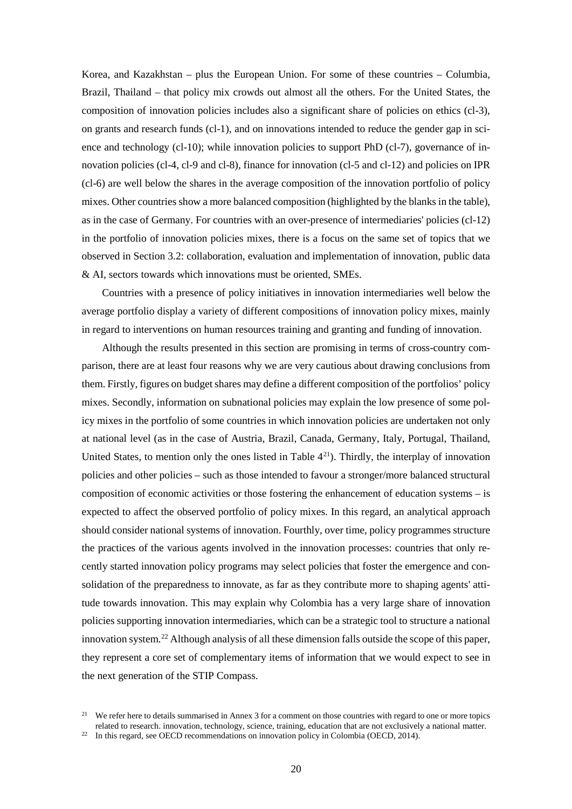Korea, and Kazakhstan – plus the European Union. For some of these countries – Columbia, Brazil, Thailand – that policy mix crowds out almost all the others. For the United States, the composition of innovation policies includes also a significant share of policies on ethics (cl-3), on grants and research funds (cl-1), and on innovations intended to reduce the gender gap in science and technology (cl-10); while innovation policies to support PhD (cl-7), governance of innovation policies (cl-4, cl-9 and cl-8), finance for innovation (cl-5 and cl-12) and policies on IPR (cl-6) are well below the shares in the average composition of the innovation portfolio of policy mixes. Other countries show a more balanced composition (highlighted by the blanks in the table), as in the case of Germany. For countries with an over-presence of intermediaries' policies (cl-12) in the portfolio of innovation policies mixes, there is a focus on the same set of topics that we observed in Section 3.2: collaboration, evaluation and implementation of innovation, public data & AI, sectors towards which innovations must be oriented, SMEs.

Countries with a presence of policy initiatives in innovation intermediaries well below the average portfolio display a variety of different compositions of innovation policy mixes, mainly in regard to interventions on human resources training and granting and funding of innovation.

Although the results presented in this section are promising in terms of cross-country comparison, there are at least four reasons why we are very cautious about drawing conclusions from them. Firstly, figures on budget shares may define a different composition of the portfolios' policy mixes. Secondly, information on subnational policies may explain the low presence of some policy mixes in the portfolio of some countries in which innovation policies are undertaken not only at national level (as in the case of Austria, Brazil, Canada, Germany, Italy, Portugal, Thailand, United States, to mention only the ones listed in Table  $4<sup>21</sup>$ ). Thirdly, the interplay of innovation policies and other policies – such as those intended to favour a stronger/more balanced structural composition of economic activities or those fostering the enhancement of education systems – is expected to affect the observed portfolio of policy mixes. In this regard, an analytical approach should consider national systems of innovation. Fourthly, over time, policy programmes structure the practices of the various agents involved in the innovation processes: countries that only recently started innovation policy programs may select policies that foster the emergence and consolidation of the preparedness to innovate, as far as they contribute more to shaping agents' attitude towards innovation. This may explain why Colombia has a very large share of innovation policies supporting innovation intermediaries, which can be a strategic tool to structure a national innovation system. [22](#page-19-1) Although analysis of all these dimension falls outside the scope of this paper, they represent a core set of complementary items of information that we would expect to see in the next generation of the STIP Compass.

<span id="page-19-0"></span><sup>&</sup>lt;sup>21</sup> We refer here to details summarised in Annex 3 for a comment on those countries with regard to one or more topics related to research. innovation, technology, science, training, education that are not exclusively a national matter.

<span id="page-19-1"></span><sup>&</sup>lt;sup>22</sup> In this regard, see OECD recommendations on innovation policy in Colombia (OECD, 2014).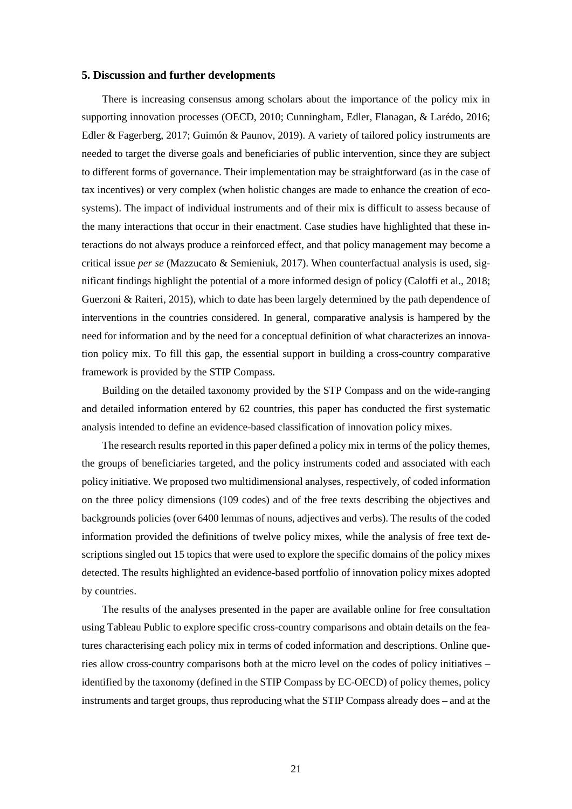# **5. Discussion and further developments**

There is increasing consensus among scholars about the importance of the policy mix in supporting innovation processes (OECD, 2010; Cunningham, Edler, Flanagan, & Larédo, 2016; Edler & Fagerberg, 2017; Guimón & Paunov, 2019). A variety of tailored policy instruments are needed to target the diverse goals and beneficiaries of public intervention, since they are subject to different forms of governance. Their implementation may be straightforward (as in the case of tax incentives) or very complex (when holistic changes are made to enhance the creation of ecosystems). The impact of individual instruments and of their mix is difficult to assess because of the many interactions that occur in their enactment. Case studies have highlighted that these interactions do not always produce a reinforced effect, and that policy management may become a critical issue *per se* (Mazzucato & Semieniuk, 2017). When counterfactual analysis is used, significant findings highlight the potential of a more informed design of policy (Caloffi et al., 2018; Guerzoni & Raiteri, 2015), which to date has been largely determined by the path dependence of interventions in the countries considered. In general, comparative analysis is hampered by the need for information and by the need for a conceptual definition of what characterizes an innovation policy mix. To fill this gap, the essential support in building a cross-country comparative framework is provided by the STIP Compass.

Building on the detailed taxonomy provided by the STP Compass and on the wide-ranging and detailed information entered by 62 countries, this paper has conducted the first systematic analysis intended to define an evidence-based classification of innovation policy mixes.

The research results reported in this paper defined a policy mix in terms of the policy themes, the groups of beneficiaries targeted, and the policy instruments coded and associated with each policy initiative. We proposed two multidimensional analyses, respectively, of coded information on the three policy dimensions (109 codes) and of the free texts describing the objectives and backgrounds policies (over 6400 lemmas of nouns, adjectives and verbs). The results of the coded information provided the definitions of twelve policy mixes, while the analysis of free text descriptions singled out 15 topics that were used to explore the specific domains of the policy mixes detected. The results highlighted an evidence-based portfolio of innovation policy mixes adopted by countries.

The results of the analyses presented in the paper are available online for free consultation using Tableau Public to explore specific cross-country comparisons and obtain details on the features characterising each policy mix in terms of coded information and descriptions. Online queries allow cross-country comparisons both at the micro level on the codes of policy initiatives – identified by the taxonomy (defined in the STIP Compass by EC-OECD) of policy themes, policy instruments and target groups, thus reproducing what the STIP Compass already does – and at the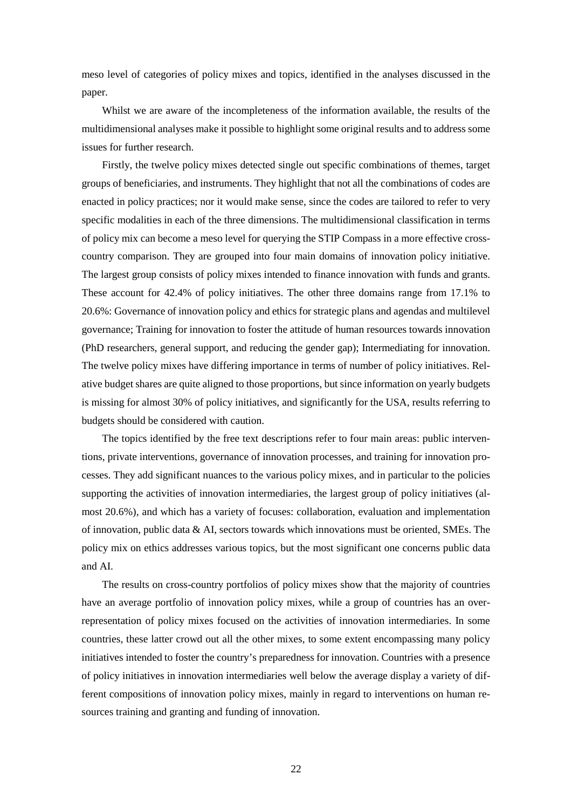meso level of categories of policy mixes and topics, identified in the analyses discussed in the paper.

Whilst we are aware of the incompleteness of the information available, the results of the multidimensional analyses make it possible to highlight some original results and to address some issues for further research.

Firstly, the twelve policy mixes detected single out specific combinations of themes, target groups of beneficiaries, and instruments. They highlight that not all the combinations of codes are enacted in policy practices; nor it would make sense, since the codes are tailored to refer to very specific modalities in each of the three dimensions. The multidimensional classification in terms of policy mix can become a meso level for querying the STIP Compass in a more effective crosscountry comparison. They are grouped into four main domains of innovation policy initiative. The largest group consists of policy mixes intended to finance innovation with funds and grants. These account for 42.4% of policy initiatives. The other three domains range from 17.1% to 20.6%: Governance of innovation policy and ethics for strategic plans and agendas and multilevel governance; Training for innovation to foster the attitude of human resources towards innovation (PhD researchers, general support, and reducing the gender gap); Intermediating for innovation. The twelve policy mixes have differing importance in terms of number of policy initiatives. Relative budget shares are quite aligned to those proportions, but since information on yearly budgets is missing for almost 30% of policy initiatives, and significantly for the USA, results referring to budgets should be considered with caution.

The topics identified by the free text descriptions refer to four main areas: public interventions, private interventions, governance of innovation processes, and training for innovation processes. They add significant nuances to the various policy mixes, and in particular to the policies supporting the activities of innovation intermediaries, the largest group of policy initiatives (almost 20.6%), and which has a variety of focuses: collaboration, evaluation and implementation of innovation, public data  $\&$  AI, sectors towards which innovations must be oriented, SMEs. The policy mix on ethics addresses various topics, but the most significant one concerns public data and AI.

The results on cross-country portfolios of policy mixes show that the majority of countries have an average portfolio of innovation policy mixes, while a group of countries has an overrepresentation of policy mixes focused on the activities of innovation intermediaries. In some countries, these latter crowd out all the other mixes, to some extent encompassing many policy initiatives intended to foster the country's preparedness for innovation. Countries with a presence of policy initiatives in innovation intermediaries well below the average display a variety of different compositions of innovation policy mixes, mainly in regard to interventions on human resources training and granting and funding of innovation.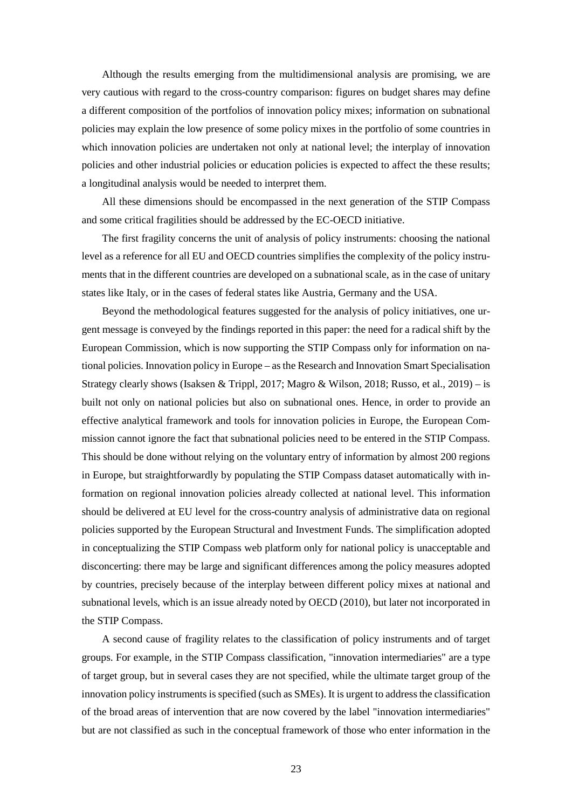Although the results emerging from the multidimensional analysis are promising, we are very cautious with regard to the cross-country comparison: figures on budget shares may define a different composition of the portfolios of innovation policy mixes; information on subnational policies may explain the low presence of some policy mixes in the portfolio of some countries in which innovation policies are undertaken not only at national level; the interplay of innovation policies and other industrial policies or education policies is expected to affect the these results; a longitudinal analysis would be needed to interpret them.

All these dimensions should be encompassed in the next generation of the STIP Compass and some critical fragilities should be addressed by the EC-OECD initiative.

The first fragility concerns the unit of analysis of policy instruments: choosing the national level as a reference for all EU and OECD countries simplifies the complexity of the policy instruments that in the different countries are developed on a subnational scale, as in the case of unitary states like Italy, or in the cases of federal states like Austria, Germany and the USA.

Beyond the methodological features suggested for the analysis of policy initiatives, one urgent message is conveyed by the findings reported in this paper: the need for a radical shift by the European Commission, which is now supporting the STIP Compass only for information on national policies. Innovation policy in Europe – as the Research and Innovation Smart Specialisation Strategy clearly shows (Isaksen & Trippl, 2017; Magro & Wilson, 2018; Russo, et al., 2019) – is built not only on national policies but also on subnational ones. Hence, in order to provide an effective analytical framework and tools for innovation policies in Europe, the European Commission cannot ignore the fact that subnational policies need to be entered in the STIP Compass. This should be done without relying on the voluntary entry of information by almost 200 regions in Europe, but straightforwardly by populating the STIP Compass dataset automatically with information on regional innovation policies already collected at national level. This information should be delivered at EU level for the cross-country analysis of administrative data on regional policies supported by the European Structural and Investment Funds. The simplification adopted in conceptualizing the STIP Compass web platform only for national policy is unacceptable and disconcerting: there may be large and significant differences among the policy measures adopted by countries, precisely because of the interplay between different policy mixes at national and subnational levels, which is an issue already noted by OECD (2010), but later not incorporated in the STIP Compass.

A second cause of fragility relates to the classification of policy instruments and of target groups. For example, in the STIP Compass classification, "innovation intermediaries" are a type of target group, but in several cases they are not specified, while the ultimate target group of the innovation policy instruments is specified (such as SMEs). It is urgent to address the classification of the broad areas of intervention that are now covered by the label "innovation intermediaries" but are not classified as such in the conceptual framework of those who enter information in the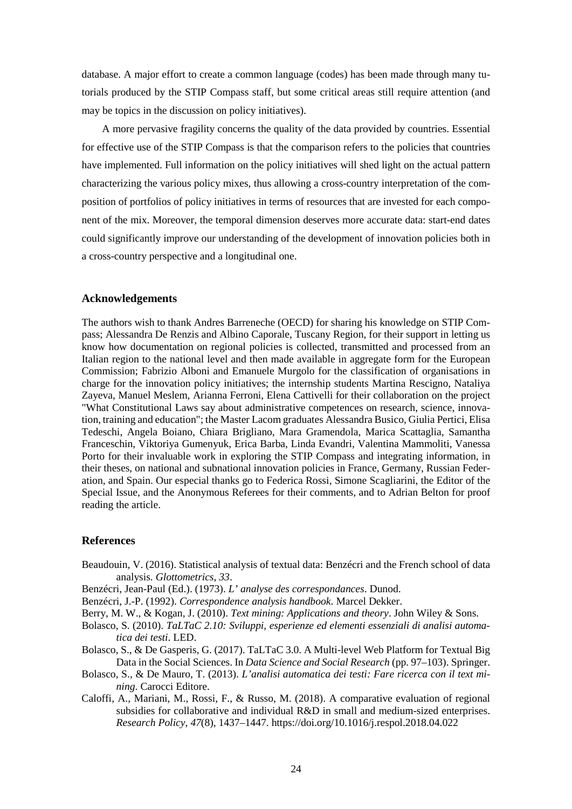database. A major effort to create a common language (codes) has been made through many tutorials produced by the STIP Compass staff, but some critical areas still require attention (and may be topics in the discussion on policy initiatives).

A more pervasive fragility concerns the quality of the data provided by countries. Essential for effective use of the STIP Compass is that the comparison refers to the policies that countries have implemented. Full information on the policy initiatives will shed light on the actual pattern characterizing the various policy mixes, thus allowing a cross-country interpretation of the composition of portfolios of policy initiatives in terms of resources that are invested for each component of the mix. Moreover, the temporal dimension deserves more accurate data: start-end dates could significantly improve our understanding of the development of innovation policies both in a cross-country perspective and a longitudinal one.

# **Acknowledgements**

The authors wish to thank Andres Barreneche (OECD) for sharing his knowledge on STIP Compass; Alessandra De Renzis and Albino Caporale, Tuscany Region, for their support in letting us know how documentation on regional policies is collected, transmitted and processed from an Italian region to the national level and then made available in aggregate form for the European Commission; Fabrizio Alboni and Emanuele Murgolo for the classification of organisations in charge for the innovation policy initiatives; the internship students Martina Rescigno, Nataliya Zayeva, Manuel Meslem, Arianna Ferroni, Elena Cattivelli for their collaboration on the project "What Constitutional Laws say about administrative competences on research, science, innovation, training and education"; the Master Lacom graduates Alessandra Busico, Giulia Pertici, Elisa Tedeschi, Angela Boiano, Chiara Brigliano, Mara Gramendola, Marica Scattaglia, Samantha Franceschin, Viktoriya Gumenyuk, Erica Barba, Linda Evandri, Valentina Mammoliti, Vanessa Porto for their invaluable work in exploring the STIP Compass and integrating information, in their theses, on national and subnational innovation policies in France, Germany, Russian Federation, and Spain. Our especial thanks go to Federica Rossi, Simone Scagliarini, the Editor of the Special Issue, and the Anonymous Referees for their comments, and to Adrian Belton for proof reading the article.

# **References**

- Beaudouin, V. (2016). Statistical analysis of textual data: Benzécri and the French school of data analysis. *Glottometrics*, *33*.
- Benzécri, Jean-Paul (Ed.). (1973). *L' analyse des correspondances*. Dunod.
- Benzécri, J.-P. (1992). *Correspondence analysis handbook*. Marcel Dekker.
- Berry, M. W., & Kogan, J. (2010). *Text mining: Applications and theory*. John Wiley & Sons.
- Bolasco, S. (2010). *TaLTaC 2.10: Sviluppi, esperienze ed elementi essenziali di analisi automatica dei testi*. LED.
- Bolasco, S., & De Gasperis, G. (2017). TaLTaC 3.0. A Multi-level Web Platform for Textual Big Data in the Social Sciences. In *Data Science and Social Research* (pp. 97–103). Springer.
- Bolasco, S., & De Mauro, T. (2013). *L'analisi automatica dei testi: Fare ricerca con il text mining*. Carocci Editore.
- Caloffi, A., Mariani, M., Rossi, F., & Russo, M. (2018). A comparative evaluation of regional subsidies for collaborative and individual R&D in small and medium-sized enterprises. *Research Policy*, *47*(8), 1437–1447. https://doi.org/10.1016/j.respol.2018.04.022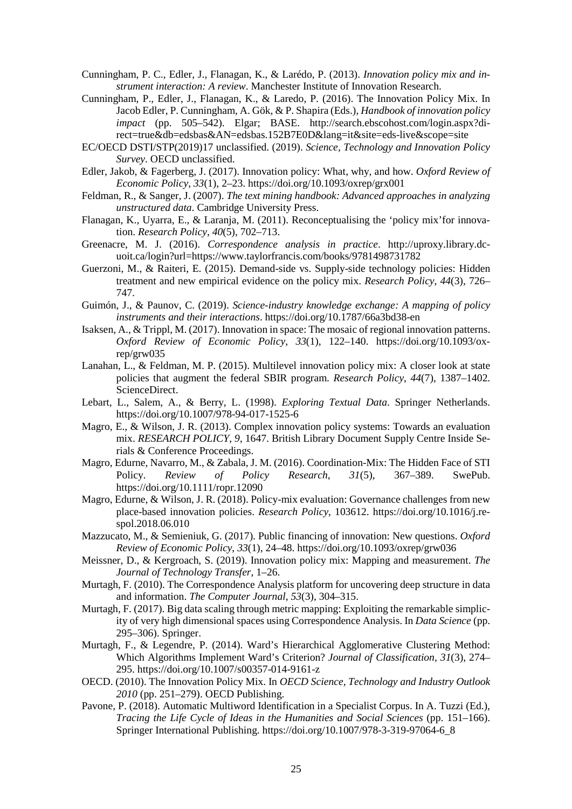- Cunningham, P. C., Edler, J., Flanagan, K., & Larédo, P. (2013). *Innovation policy mix and instrument interaction: A review*. Manchester Institute of Innovation Research.
- Cunningham, P., Edler, J., Flanagan, K., & Laredo, P. (2016). The Innovation Policy Mix. In Jacob Edler, P. Cunningham, A. Gök, & P. Shapira (Eds.), *Handbook of innovation policy impact* (pp. 505–542). Elgar; BASE. http://search.ebscohost.com/login.aspx?direct=true&db=edsbas&AN=edsbas.152B7E0D&lang=it&site=eds-live&scope=site
- EC/OECD DSTI/STP(2019)17 unclassified. (2019). *Science, Technology and Innovation Policy Survey*. OECD unclassified.
- Edler, Jakob, & Fagerberg, J. (2017). Innovation policy: What, why, and how. *Oxford Review of Economic Policy*, *33*(1), 2–23. https://doi.org/10.1093/oxrep/grx001
- Feldman, R., & Sanger, J. (2007). *The text mining handbook: Advanced approaches in analyzing unstructured data*. Cambridge University Press.
- Flanagan, K., Uyarra, E., & Laranja, M. (2011). Reconceptualising the 'policy mix'for innovation. *Research Policy*, *40*(5), 702–713.
- Greenacre, M. J. (2016). *Correspondence analysis in practice*. http://uproxy.library.dcuoit.ca/login?url=https://www.taylorfrancis.com/books/9781498731782
- Guerzoni, M., & Raiteri, E. (2015). Demand-side vs. Supply-side technology policies: Hidden treatment and new empirical evidence on the policy mix. *Research Policy*, *44*(3), 726– 747.
- Guimón, J., & Paunov, C. (2019). *Science-industry knowledge exchange: A mapping of policy instruments and their interactions*. https://doi.org/10.1787/66a3bd38-en
- Isaksen, A., & Trippl, M. (2017). Innovation in space: The mosaic of regional innovation patterns. *Oxford Review of Economic Policy*, *33*(1), 122–140. https://doi.org/10.1093/oxrep/grw035
- Lanahan, L., & Feldman, M. P. (2015). Multilevel innovation policy mix: A closer look at state policies that augment the federal SBIR program. *Research Policy*, *44*(7), 1387–1402. ScienceDirect.
- Lebart, L., Salem, A., & Berry, L. (1998). *Exploring Textual Data*. Springer Netherlands. https://doi.org/10.1007/978-94-017-1525-6
- Magro, E., & Wilson, J. R. (2013). Complex innovation policy systems: Towards an evaluation mix. *RESEARCH POLICY*, *9*, 1647. British Library Document Supply Centre Inside Serials & Conference Proceedings.
- Magro, Edurne, Navarro, M., & Zabala, J. M. (2016). Coordination-Mix: The Hidden Face of STI<br>Policy. Review of Policy Research, 31(5), 367–389. SwePub. Policy. *Review of Policy Research*, *31*(5), 367–389. SwePub. https://doi.org/10.1111/ropr.12090
- Magro, Edurne, & Wilson, J. R. (2018). Policy-mix evaluation: Governance challenges from new place-based innovation policies. *Research Policy*, 103612. https://doi.org/10.1016/j.respol.2018.06.010
- Mazzucato, M., & Semieniuk, G. (2017). Public financing of innovation: New questions. *Oxford Review of Economic Policy*, *33*(1), 24–48. https://doi.org/10.1093/oxrep/grw036
- Meissner, D., & Kergroach, S. (2019). Innovation policy mix: Mapping and measurement. *The Journal of Technology Transfer*, 1–26.
- Murtagh, F. (2010). The Correspondence Analysis platform for uncovering deep structure in data and information. *The Computer Journal*, *53*(3), 304–315.
- Murtagh, F. (2017). Big data scaling through metric mapping: Exploiting the remarkable simplicity of very high dimensional spaces using Correspondence Analysis. In *Data Science* (pp. 295–306). Springer.
- Murtagh, F., & Legendre, P. (2014). Ward's Hierarchical Agglomerative Clustering Method: Which Algorithms Implement Ward's Criterion? *Journal of Classification*, *31*(3), 274– 295. https://doi.org/10.1007/s00357-014-9161-z
- OECD. (2010). The Innovation Policy Mix. In *OECD Science, Technology and Industry Outlook 2010* (pp. 251–279). OECD Publishing.
- Pavone, P. (2018). Automatic Multiword Identification in a Specialist Corpus. In A. Tuzzi (Ed.), *Tracing the Life Cycle of Ideas in the Humanities and Social Sciences* (pp. 151–166). Springer International Publishing. https://doi.org/10.1007/978-3-319-97064-6\_8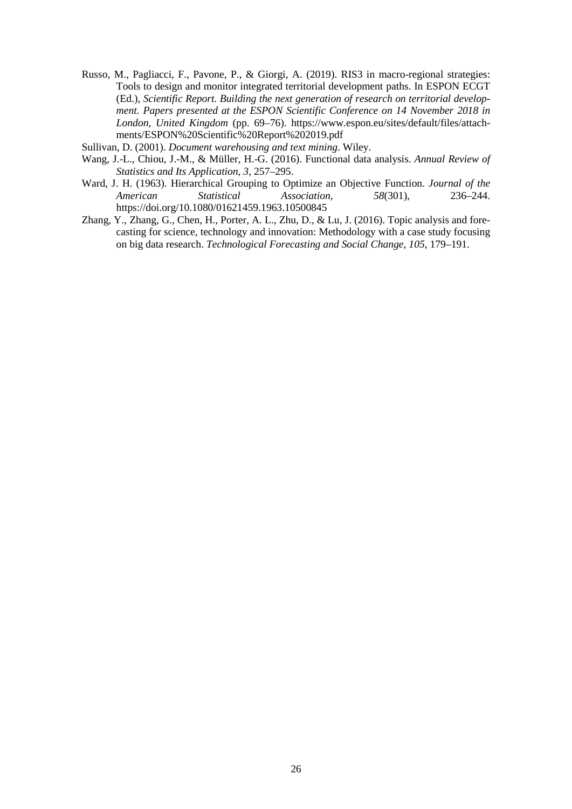- Russo, M., Pagliacci, F., Pavone, P., & Giorgi, A. (2019). RIS3 in macro-regional strategies: Tools to design and monitor integrated territorial development paths. In ESPON ECGT (Ed.), *Scientific Report. Building the next generation of research on territorial development. Papers presented at the ESPON Scientific Conference on 14 November 2018 in London, United Kingdom* (pp. 69–76). https://www.espon.eu/sites/default/files/attachments/ESPON%20Scientific%20Report%202019.pdf
- Sullivan, D. (2001). *Document warehousing and text mining*. Wiley.
- Wang, J.-L., Chiou, J.-M., & Müller, H.-G. (2016). Functional data analysis. *Annual Review of Statistics and Its Application*, *3*, 257–295.
- Ward, J. H. (1963). Hierarchical Grouping to Optimize an Objective Function. *Journal of the*   $A<sub>ssociation</sub>$ https://doi.org/10.1080/01621459.1963.10500845
- Zhang, Y., Zhang, G., Chen, H., Porter, A. L., Zhu, D., & Lu, J. (2016). Topic analysis and forecasting for science, technology and innovation: Methodology with a case study focusing on big data research. *Technological Forecasting and Social Change*, *105*, 179–191.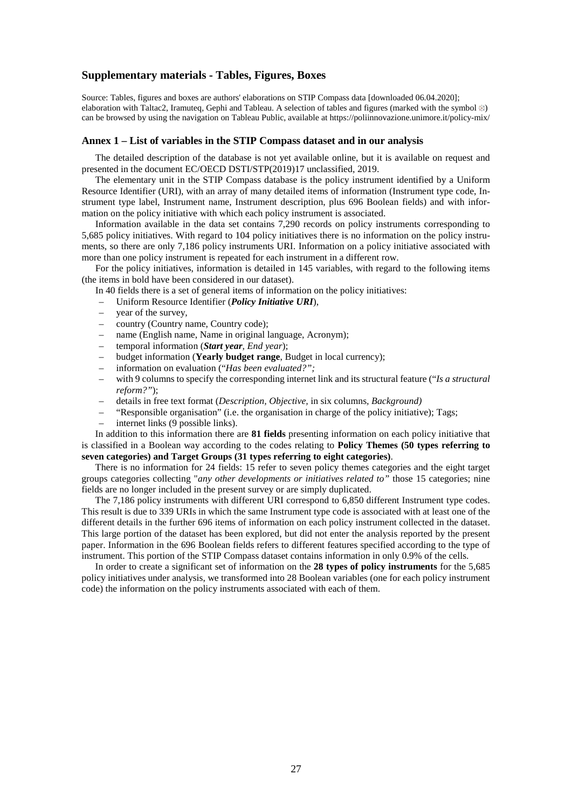# **Supplementary materials - Tables, Figures, Boxes**

Source: Tables, figures and boxes are authors' elaborations on STIP Compass data [downloaded 06.04.2020]; elaboration with Taltac2, Iramuteq, Gephi and Tableau. A selection of tables and figures (marked with the symbol  $\ddot{\ast}$ ) can be browsed by using the navigation on Tableau Public, available at https://poliinnovazione.unimore.it/policy-mix/

## **Annex 1 – List of variables in the STIP Compass dataset and in our analysis**

The detailed description of the database is not yet available online, but it is available on request and presented in the document EC/OECD DSTI/STP(2019)17 unclassified, 2019.

The elementary unit in the STIP Compass database is the policy instrument identified by a Uniform Resource Identifier (URI), with an array of many detailed items of information (Instrument type code, Instrument type label, Instrument name, Instrument description, plus 696 Boolean fields) and with information on the policy initiative with which each policy instrument is associated.

Information available in the data set contains 7,290 records on policy instruments corresponding to 5,685 policy initiatives. With regard to 104 policy initiatives there is no information on the policy instruments, so there are only 7,186 policy instruments URI. Information on a policy initiative associated with more than one policy instrument is repeated for each instrument in a different row.

For the policy initiatives, information is detailed in 145 variables, with regard to the following items (the items in bold have been considered in our dataset).

In 40 fields there is a set of general items of information on the policy initiatives:

- Uniform Resource Identifier (*Policy Initiative URI*),
- year of the survey*,*
- country (Country name, Country code);
- name (English name, Name in original language, Acronym);
- temporal information (*Start year, End year*);
- budget information (**Yearly budget range**, Budget in local currency);
- information on evaluation ("*Has been evaluated?";*
- with 9 columns to specify the corresponding internet link and its structural feature ("*Is a structural reform?"*);
- details in free text format (*Description, Objective,* in six columns*, Background)*
- "Responsible organisation" (i.e. the organisation in charge of the policy initiative); Tags;
- internet links (9 possible links).

In addition to this information there are **81 fields** presenting information on each policy initiative that is classified in a Boolean way according to the codes relating to **Policy Themes (50 types referring to seven categories) and Target Groups (31 types referring to eight categories)**.

There is no information for 24 fields: 15 refer to seven policy themes categories and the eight target groups categories collecting "*any other developments or initiatives related to"* those 15 categories; nine fields are no longer included in the present survey or are simply duplicated.

The 7,186 policy instruments with different URI correspond to 6,850 different Instrument type codes. This result is due to 339 URIs in which the same Instrument type code is associated with at least one of the different details in the further 696 items of information on each policy instrument collected in the dataset. This large portion of the dataset has been explored, but did not enter the analysis reported by the present paper. Information in the 696 Boolean fields refers to different features specified according to the type of instrument. This portion of the STIP Compass dataset contains information in only 0.9% of the cells.

In order to create a significant set of information on the **28 types of policy instruments** for the 5,685 policy initiatives under analysis, we transformed into 28 Boolean variables (one for each policy instrument code) the information on the policy instruments associated with each of them.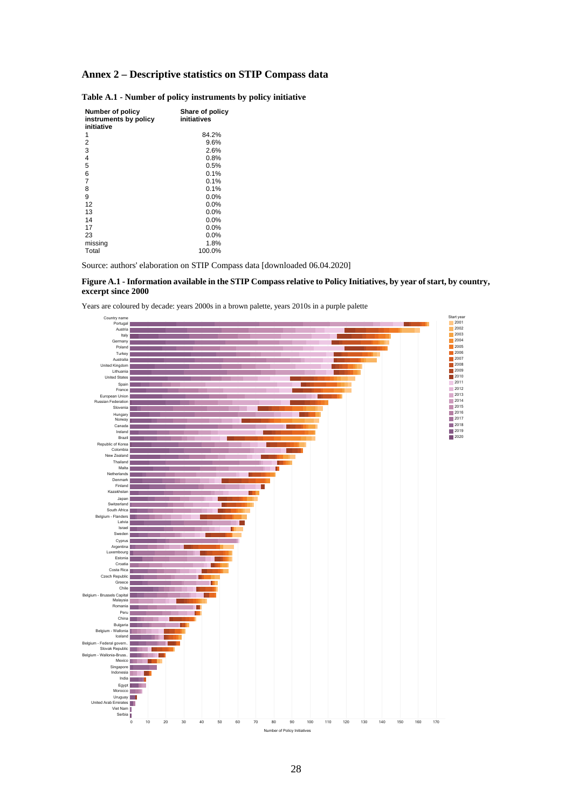# **Annex 2 – Descriptive statistics on STIP Compass data**

| Number of policy<br>instruments by policy<br>initiative | Share of policy<br>initiatives |
|---------------------------------------------------------|--------------------------------|
| 1                                                       | 84.2%                          |
| 2                                                       | 9.6%                           |
| 3                                                       | 2.6%                           |
| $\overline{4}$                                          | 0.8%                           |
| 5                                                       | 0.5%                           |
| 6                                                       | 0.1%                           |
| $\overline{7}$                                          | 0.1%                           |
| 8                                                       | 0.1%                           |
| 9                                                       | 0.0%                           |
| 12                                                      | 0.0%                           |
| 13                                                      | 0.0%                           |
| 14                                                      | 0.0%                           |
| 17                                                      | 0.0%                           |
| 23                                                      | 0.0%                           |
| missing                                                 | 1.8%                           |
| Total                                                   | 100.0%                         |

|  |  |  |  |  | Table A.1 - Number of policy instruments by policy initiative |  |  |  |
|--|--|--|--|--|---------------------------------------------------------------|--|--|--|
|--|--|--|--|--|---------------------------------------------------------------|--|--|--|

Source: authors' elaboration on STIP Compass data [downloaded 06.04.2020]

## **Figure A.1 - Information available in the STIP Compass relative to Policy Initiatives, by year of start, by country, excerpt since 2000**

Years are coloured by decade: years 2000s in a brown palette, years 2010s in a purple palette

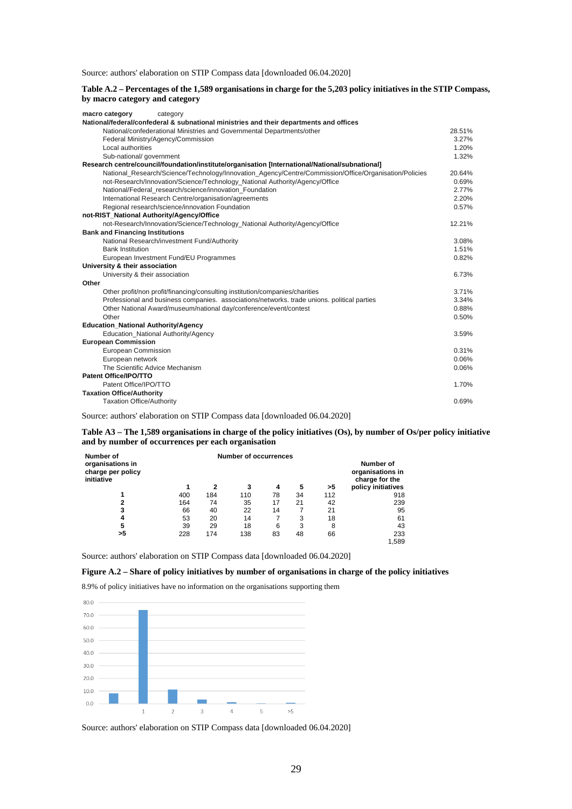Source: authors' elaboration on STIP Compass data [downloaded 06.04.2020]

| Table A.2 – Percentages of the 1,589 organisations in charge for the 5,203 policy initiatives in the STIP Compass, |  |
|--------------------------------------------------------------------------------------------------------------------|--|
| by macro category and category                                                                                     |  |

| macro category<br>category                                                                            |        |
|-------------------------------------------------------------------------------------------------------|--------|
| National/federal/confederal & subnational ministries and their departments and offices                |        |
| National/confederational Ministries and Governmental Departments/other                                | 28.51% |
| Federal Ministry/Agency/Commission                                                                    | 3.27%  |
| Local authorities                                                                                     | 1.20%  |
| Sub-national/ government                                                                              | 1.32%  |
| Research centre/council/foundation/institute/organisation [International/National/subnational]        |        |
| National_Research/Science/Technology/Innovation_Agency/Centre/Commission/Office/Organisation/Policies | 20.64% |
| not-Research/Innovation/Science/Technology_National Authority/Agency/Office                           | 0.69%  |
| National/Federal research/science/innovation Foundation                                               | 2.77%  |
| International Research Centre/organisation/agreements                                                 | 2.20%  |
| Regional research/science/innovation Foundation                                                       | 0.57%  |
| not-RIST_National Authority/Agency/Office                                                             |        |
| not-Research/Innovation/Science/Technology_National Authority/Agency/Office                           | 12.21% |
| <b>Bank and Financing Institutions</b>                                                                |        |
| National Research/investment Fund/Authority                                                           | 3.08%  |
| <b>Bank Institution</b>                                                                               | 1.51%  |
| European Investment Fund/EU Programmes                                                                | 0.82%  |
| University & their association                                                                        |        |
| University & their association                                                                        | 6.73%  |
| Other                                                                                                 |        |
| Other profit/non profit/financing/consulting institution/companies/charities                          | 3.71%  |
| Professional and business companies. associations/networks, trade unions, political parties           | 3.34%  |
| Other National Award/museum/national day/conference/event/contest                                     | 0.88%  |
| Other                                                                                                 | 0.50%  |
| <b>Education_National Authority/Agency</b>                                                            |        |
| Education National Authority/Agency                                                                   | 3.59%  |
| <b>European Commission</b>                                                                            |        |
| European Commission                                                                                   | 0.31%  |
| European network                                                                                      | 0.06%  |
| The Scientific Advice Mechanism                                                                       | 0.06%  |
| Patent Office/IPO/TTO                                                                                 |        |
| Patent Office/IPO/TTO                                                                                 | 1.70%  |
| <b>Taxation Office/Authority</b>                                                                      |        |
| <b>Taxation Office/Authority</b>                                                                      | 0.69%  |
|                                                                                                       |        |

Source: authors' elaboration on STIP Compass data [downloaded 06.04.2020]

**Table A3 – The 1,589 organisations in charge of the policy initiatives (Os), by number of Os/per policy initiative and by number of occurrences per each organisation**

| Number of                                           |     |                                                 |     |    |    |     |                    |
|-----------------------------------------------------|-----|-------------------------------------------------|-----|----|----|-----|--------------------|
| organisations in<br>charge per policy<br>initiative |     | Number of<br>organisations in<br>charge for the |     |    |    |     |                    |
|                                                     |     | 2                                               | 3   | 4  | 5  | >5  | policy initiatives |
|                                                     | 400 | 184                                             | 110 | 78 | 34 | 112 | 918                |
| 2                                                   | 164 | 74                                              | 35  | 17 | 21 | 42  | 239                |
| 3                                                   | 66  | 40                                              | 22  | 14 |    | 21  | 95                 |
| 4                                                   | 53  | 20                                              | 14  | 7  | 3  | 18  | 61                 |
| 5                                                   | 39  | 29                                              | 18  | 6  | 3  | 8   | 43                 |
| >5                                                  | 228 | 174                                             | 138 | 83 | 48 | 66  | 233                |
|                                                     |     |                                                 |     |    |    |     | 1.589              |

Source: authors' elaboration on STIP Compass data [downloaded 06.04.2020]

# **Figure A.2 – Share of policy initiatives by number of organisations in charge of the policy initiatives**

8.9% of policy initiatives have no information on the organisations supporting them

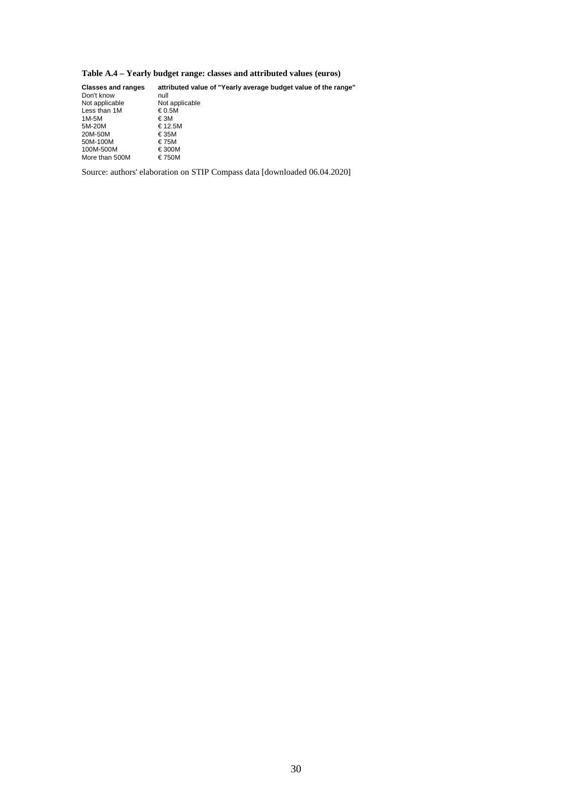# **Table A.4 – Yearly budget range: classes and attributed values (euros)**

| <b>Classes and ranges</b> | attributed value of "Yearly average budget value of the range" |
|---------------------------|----------------------------------------------------------------|
| Don't know                | null                                                           |
| Not applicable            | Not applicable                                                 |
| Less than 1M              | €0.5M                                                          |
| 1M-5M                     | € 3M                                                           |
| 5M-20M                    | €12.5M                                                         |
| 20M-50M                   | €35M                                                           |
| 50M-100M                  | €75M                                                           |
| 100M-500M                 | €300M                                                          |
| More than 500M            | €750M                                                          |
|                           |                                                                |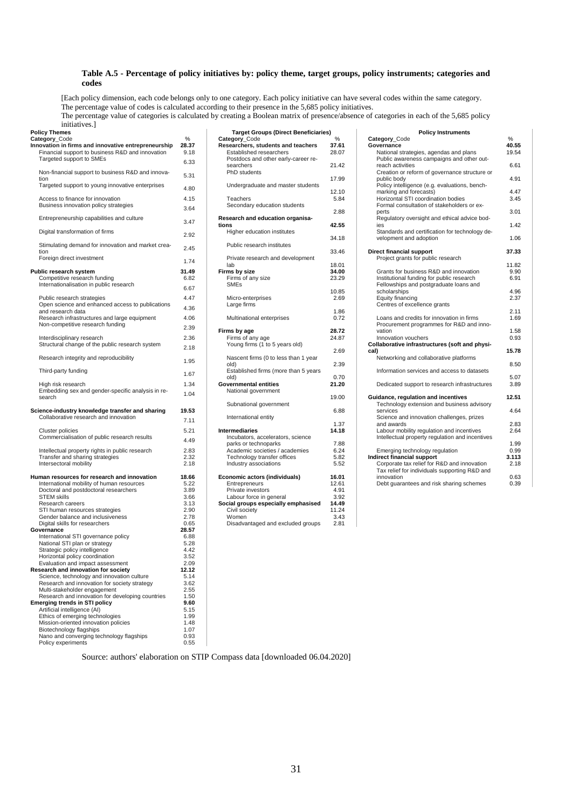### **Table A.5 - Percentage of policy initiatives by: policy theme, target groups, policy instruments; categories and codes**

[Each policy dimension, each code belongs only to one category. Each policy initiative can have several codes within the same category.

The percentage value of codes is calculated according to their presence in the 5,685 policy initiatives.

The percentage value of categories is calculated by creating a Boolean matrix of presence/absence of categories in each of the 5,685 policy

initiatives.]

| Policy Themes                                                           |       | <b>Target Groups (Direct Beneficiaries)</b> |       | <b>Policy Instruments</b>                       |       |
|-------------------------------------------------------------------------|-------|---------------------------------------------|-------|-------------------------------------------------|-------|
| Category_Code                                                           | $\%$  | Category_Code                               | $\%$  | Category_Code                                   | %     |
| Innovation in firms and innovative entrepreneurship                     | 28.37 | Researchers, students and teachers          | 37.61 | Governance                                      | 40.55 |
| Financial support to business R&D and innovation                        | 9.18  | Established researchers                     | 28.07 | National strategies, agendas and plans          | 19.54 |
| Targeted support to SMEs                                                | 6.33  | Postdocs and other early-career re-         |       | Public awareness campaigns and other out-       |       |
|                                                                         |       | searchers                                   | 21.42 | reach activities                                | 6.61  |
| Non-financial support to business R&D and innova-                       | 5.31  | PhD students                                |       | Creation or reform of governance structure or   |       |
| tion                                                                    |       |                                             | 17.99 | public body                                     | 4.91  |
| Targeted support to young innovative enterprises                        |       | Undergraduate and master students           |       | Policy intelligence (e.g. evaluations, bench-   |       |
|                                                                         | 4.80  |                                             | 12.10 | marking and forecasts)                          | 4.47  |
| Access to finance for innovation                                        | 4.15  | Teachers                                    | 5.84  | Horizontal STI coordination bodies              | 3.45  |
| Business innovation policy strategies                                   |       | Secondary education students                |       | Formal consultation of stakeholders or ex-      |       |
|                                                                         | 3.64  |                                             | 2.88  | perts                                           | 3.01  |
| Entrepreneurship capabilities and culture                               |       | Research and education organisa-            |       | Regulatory oversight and ethical advice bod-    |       |
|                                                                         | 3.47  | tions                                       | 42.55 | ies                                             | 1.42  |
| Digital transformation of firms                                         |       | Higher education institutes                 |       | Standards and certification for technology de-  |       |
|                                                                         | 2.92  |                                             | 34.18 | velopment and adoption                          | 1.06  |
|                                                                         |       | Public research institutes                  |       |                                                 |       |
| Stimulating demand for innovation and market crea-<br>tion              | 2.45  |                                             | 33.46 |                                                 |       |
|                                                                         |       |                                             |       | Direct financial support                        | 37.33 |
| Foreign direct investment                                               | 1.74  | Private research and development            |       | Project grants for public research              |       |
|                                                                         |       | lab                                         | 18.01 |                                                 | 11.82 |
| Public research system                                                  | 31.49 | Firms by size                               | 34.00 | Grants for business R&D and innovation          | 9.90  |
| Competitive research funding                                            | 6.82  | Firms of any size                           | 23.29 | Institutional funding for public research       | 6.91  |
| Internationalisation in public research                                 | 6.67  | <b>SMEs</b>                                 |       | Fellowships and postgraduate loans and          |       |
|                                                                         |       |                                             | 10.85 | scholarships                                    | 4.96  |
| Public research strategies                                              | 4.47  | Micro-enterprises                           | 2.69  | Equity financing                                | 2.37  |
| Open science and enhanced access to publications                        | 4.36  | Large firms                                 |       | Centres of excellence grants                    |       |
| and research data                                                       |       |                                             | 1.86  |                                                 | 2.11  |
| Research infrastructures and large equipment                            | 4.06  | Multinational enterprises                   | 0.72  | Loans and credits for innovation in firms       | 1.69  |
| Non-competitive research funding                                        |       |                                             |       | Procurement programmes for R&D and inno-        |       |
|                                                                         | 2.39  | Firms by age                                | 28.72 | vation                                          | 1.58  |
| Interdisciplinary research                                              | 2.36  | Firms of any age                            | 24.87 | Innovation vouchers                             | 0.93  |
| Structural change of the public research system                         |       | Young firms (1 to 5 years old)              |       | Collaborative infrastructures (soft and physi-  |       |
|                                                                         | 2.18  |                                             | 2.69  | cal)                                            | 15.78 |
| Research integrity and reproducibility                                  |       | Nascent firms (0 to less than 1 year        |       | Networking and collaborative platforms          |       |
|                                                                         | 1.95  | old)                                        | 2.39  |                                                 | 8.5C  |
| Third-party funding                                                     |       | Established firms (more than 5 years        |       | Information services and access to datasets     |       |
|                                                                         | 1.67  | old)                                        | 0.70  |                                                 | 5.07  |
|                                                                         | 1.34  | <b>Governmental entities</b>                | 21.20 | Dedicated support to research infrastructures   | 3.89  |
| High risk research<br>Embedding sex and gender-specific analysis in re- |       |                                             |       |                                                 |       |
|                                                                         | 1.04  | National government                         |       |                                                 |       |
| search                                                                  |       |                                             | 19.00 | Guidance, regulation and incentives             | 12.51 |
|                                                                         |       | Subnational government                      |       | Technology extension and business advisory      |       |
| Science-industry knowledge transfer and sharing                         | 19.53 |                                             | 6.88  | services                                        | 4.64  |
| Collaborative research and innovation                                   | 7.11  | International entity                        |       | Science and innovation challenges, prizes       |       |
|                                                                         |       |                                             | 1.37  | and awards                                      | 2.83  |
| Cluster policies                                                        | 5.21  | <b>Intermediaries</b>                       | 14.18 | Labour mobility regulation and incentives       | 2.64  |
| Commercialisation of public research results                            | 4.49  | Incubators, accelerators, science           |       | Intellectual property regulation and incentives |       |
|                                                                         |       | parks or technoparks                        | 7.88  |                                                 | 1.99  |
| Intellectual property rights in public research                         | 2.83  | Academic societies / academies              | 6.24  | Emerging technology regulation                  | 0.99  |
| Transfer and sharing strategies                                         | 2.32  | Technology transfer offices                 | 5.82  | Indirect financial support                      | 3.113 |
| Intersectoral mobility                                                  | 2.18  | Industry associations                       | 5.52  | Corporate tax relief for R&D and innovation     | 2.18  |
|                                                                         |       |                                             |       | Tax relief for individuals supporting R&D and   |       |
| Human resources for research and innovation                             | 18.66 | Economic actors (individuals)               | 16.01 | innovation                                      | 0.63  |
| International mobility of human resources                               | 5.22  | Entrepreneurs                               | 12.61 | Debt guarantees and risk sharing schemes        | 0.39  |
| Doctoral and postdoctoral researchers                                   | 3.89  | Private investors                           | 4.91  |                                                 |       |
| <b>STEM skills</b>                                                      | 3.66  | Labour force in general                     | 3.92  |                                                 |       |
| Research careers                                                        | 3.13  | Social groups especially emphasised         | 14.49 |                                                 |       |
| STI human resources strategies                                          | 2.90  | Civil society                               | 11.24 |                                                 |       |
| Gender balance and inclusiveness                                        | 2.78  | Women                                       | 3.43  |                                                 |       |
| Digital skills for researchers                                          | 0.65  | Disadvantaged and excluded groups           | 2.81  |                                                 |       |
|                                                                         | 28.57 |                                             |       |                                                 |       |
| Governance                                                              |       |                                             |       |                                                 |       |
| International STI governance policy                                     | 6.88  |                                             |       |                                                 |       |
| National STI plan or strategy                                           | 5.28  |                                             |       |                                                 |       |
| Strategic policy intelligence                                           | 4.42  |                                             |       |                                                 |       |
| Horizontal policy coordination                                          | 3.52  |                                             |       |                                                 |       |
| Evaluation and impact assessment                                        | 2.09  |                                             |       |                                                 |       |
| <b>Research and innovation for society</b>                              | 12.12 |                                             |       |                                                 |       |
| Science, technology and innovation culture                              | 5.14  |                                             |       |                                                 |       |
| Research and innovation for society strategy                            | 3.62  |                                             |       |                                                 |       |
| Multi-stakeholder engagement                                            | 2.55  |                                             |       |                                                 |       |
| Research and innovation for developing countries                        | 1.50  |                                             |       |                                                 |       |
| <b>Emerging trends in STI policy</b>                                    | 9.60  |                                             |       |                                                 |       |
| Artificial intelligence (AI)                                            | 5.15  |                                             |       |                                                 |       |
| Ethics of emerging technologies                                         | 1.99  |                                             |       |                                                 |       |
| Mission-oriented innovation policies                                    | 1.48  |                                             |       |                                                 |       |
| Biotechnology flagships                                                 | 1.07  |                                             |       |                                                 |       |
| Nano and converging technology flagships                                | 0.93  |                                             |       |                                                 |       |
| Policy experiments                                                      | 0.55  |                                             |       |                                                 |       |
|                                                                         |       |                                             |       |                                                 |       |

| <b>Target Groups (Direct Beneficiaries)</b><br>Category_Code       | %              |
|--------------------------------------------------------------------|----------------|
| Researchers, students and teachers<br>Established researchers      | 37.61<br>28.07 |
| Postdocs and other early-career re-<br>searchers<br>PhD students   | 21.42          |
| Undergraduate and master students                                  | 17.99          |
| Teachers<br>Secondary education students                           | 12.10<br>5.84  |
| Research and education organisa-                                   | 2.88           |
| tions<br>Higher education institutes                               | 42.55          |
| Public research institutes                                         | 34.18          |
| Private research and development<br>lab                            | 33.46<br>18.01 |
| Firms by size<br>Firms of any size<br><b>SMEs</b>                  | 34.00<br>23.29 |
| Micro-enterprises<br>Large firms                                   | 10.85<br>2.69  |
| Multinational enterprises                                          | 1.86<br>0.72   |
| Firms by age<br>Firms of any age<br>Young firms (1 to 5 years old) | 28.72<br>24.87 |
| Nascent firms (0 to less than 1 year                               | 2.69           |
| old)<br>Established firms (more than 5 years                       | 2.39           |
| old)<br><b>Governmental entities</b><br>National government        | 0.70<br>21.20  |
| Subnational government                                             | 19.00          |
| International entity                                               | 6.88           |
| <b>Intermediaries</b><br>Incubators, accelerators, science         | 1.37<br>14.18  |
| parks or technoparks                                               | 7.88           |
| Academic societies / academies                                     | 6.24           |
| Technology transfer offices<br>Industry associations               | 5.82<br>5.52   |
| Economic actors (individuals)<br>Entrepreneurs                     | 16.01<br>12.61 |
| Private investors                                                  | 4.91           |
| Labour force in general                                            | 3.92           |
| Social groups especially emphasised<br>Civil society               | 14.49<br>11.24 |
| Women                                                              | 3.43           |
| Disadvantaged and excluded groups                                  | 2.81           |

| initiatives.<br>icy Themes                         |       | <b>Target Groups (Direct Beneficiaries)</b> |       | <b>Policy Instruments</b>                       |       |
|----------------------------------------------------|-------|---------------------------------------------|-------|-------------------------------------------------|-------|
| egory Code                                         | %     | Category Code                               | %     | Category Code                                   | %     |
| ovation in firms and innovative entrepreneurship   | 28.37 | Researchers, students and teachers          | 37.61 | Governance                                      | 40.55 |
| Financial support to business R&D and innovation   | 9.18  | Established researchers                     | 28.07 | National strategies, agendas and plans          | 19.54 |
| Targeted support to SMEs                           |       | Postdocs and other early-career re-         |       | Public awareness campaigns and other out-       |       |
|                                                    | 6.33  | searchers                                   | 21.42 | reach activities                                | 6.61  |
| Non-financial support to business R&D and innova-  |       | PhD students                                |       | Creation or reform of governance structure or   |       |
|                                                    | 5.31  |                                             | 17.99 | public body                                     | 4.91  |
| Targeted support to young innovative enterprises   |       | Undergraduate and master students           |       | Policy intelligence (e.g. evaluations, bench-   |       |
|                                                    | 4.80  |                                             | 12.10 | marking and forecasts)                          | 4.47  |
| Access to finance for innovation                   | 4.15  | Teachers                                    | 5.84  | Horizontal STI coordination bodies              | 3.45  |
| Business innovation policy strategies              |       | Secondary education students                |       | Formal consultation of stakeholders or ex-      |       |
|                                                    | 3.64  |                                             | 2.88  | perts                                           | 3.01  |
| Entrepreneurship capabilities and culture          |       | Research and education organisa-            |       | Regulatory oversight and ethical advice bod-    |       |
|                                                    | 3.47  | tions                                       | 42.55 | ies                                             | 1.42  |
|                                                    |       |                                             |       |                                                 |       |
| Digital transformation of firms                    | 2.92  | Higher education institutes                 |       | Standards and certification for technology de-  |       |
|                                                    |       |                                             | 34.18 | velopment and adoption                          | 1.06  |
| Stimulating demand for innovation and market crea- | 2.45  | Public research institutes                  |       |                                                 |       |
| tion                                               |       |                                             | 33.46 | Direct financial support                        | 37.33 |
| Foreign direct investment                          | 1.74  | Private research and development            |       | Project grants for public research              |       |
|                                                    |       | lab                                         | 18.01 |                                                 | 11.82 |
| olic research system                               | 31.49 | Firms by size                               | 34.00 | Grants for business R&D and innovation          | 9.90  |
| Competitive research funding                       | 6.82  | Firms of any size                           | 23.29 | Institutional funding for public research       | 6.91  |
| Internationalisation in public research            | 6.67  | <b>SMEs</b>                                 |       | Fellowships and postgraduate loans and          |       |
|                                                    |       |                                             | 10.85 | scholarships                                    | 4.96  |
| Public research strategies                         | 4.47  | Micro-enterprises                           | 2.69  | Equity financing                                | 2.37  |
| Open science and enhanced access to publications   | 4.36  | Large firms                                 |       | Centres of excellence grants                    |       |
| and research data                                  |       |                                             | 1.86  |                                                 | 2.11  |
| Research infrastructures and large equipment       | 4.06  | Multinational enterprises                   | 0.72  | Loans and credits for innovation in firms       | 1.69  |
| Non-competitive research funding                   | 2.39  |                                             |       | Procurement programmes for R&D and inno-        |       |
|                                                    |       | Firms by age                                | 28.72 | vation                                          | 1.58  |
| Interdisciplinary research                         | 2.36  | Firms of any age                            | 24.87 | Innovation vouchers                             | 0.93  |
| Structural change of the public research system    | 2.18  | Young firms (1 to 5 years old)              |       | Collaborative infrastructures (soft and physi-  |       |
|                                                    |       |                                             | 2.69  | cal)                                            | 15.78 |
| Research integrity and reproducibility             | 1.95  | Nascent firms (0 to less than 1 year        |       | Networking and collaborative platforms          |       |
|                                                    |       | old)                                        | 2.39  |                                                 | 8.50  |
| Third-party funding                                | 1.67  | Established firms (more than 5 years        |       | Information services and access to datasets     |       |
|                                                    |       | old)                                        | 0.70  |                                                 | 5.07  |
| High risk research                                 | 1.34  | <b>Governmental entities</b>                | 21.20 | Dedicated support to research infrastructures   | 3.89  |
| Embedding sex and gender-specific analysis in re-  | 1.04  | National government                         |       |                                                 |       |
| search                                             |       |                                             | 19.00 | Guidance, regulation and incentives             | 12.51 |
|                                                    |       | Subnational government                      |       | Technology extension and business advisory      |       |
| ence-industry knowledge transfer and sharing       | 19.53 |                                             | 6.88  | services                                        | 4.64  |
| Collaborative research and innovation              |       | International entity                        |       | Science and innovation challenges, prizes       |       |
|                                                    | 7.11  |                                             | 1.37  | and awards                                      | 2.83  |
| Cluster policies                                   | 5.21  | <b>Intermediaries</b>                       | 14.18 | Labour mobility regulation and incentives       | 2.64  |
| Commercialisation of public research results       |       | Incubators, accelerators, science           |       | Intellectual property regulation and incentives |       |
|                                                    | 4.49  | parks or technoparks                        | 7.88  |                                                 | 1.99  |
| Intellectual property rights in public research    | 2.83  | Academic societies / academies              | 6.24  | Emerging technology regulation                  | 0.99  |
| Transfer and sharing strategies                    | 2.32  | Technology transfer offices                 | 5.82  | Indirect financial support                      | 3.113 |
| Intersectoral mobility                             | 2.18  | Industry associations                       | 5.52  | Corporate tax relief for R&D and innovation     | 2.18  |
|                                                    |       |                                             |       | Tax relief for individuals supporting R&D and   |       |
| man resources for research and innovation          | 18.66 | Economic actors (individuals)               | 16.01 | innovation                                      | 0.63  |
| International mobility of human resources          | 5.22  | Entrepreneurs                               | 12.61 | Debt quarantees and risk sharing schemes        | 0.39  |
|                                                    |       |                                             |       |                                                 |       |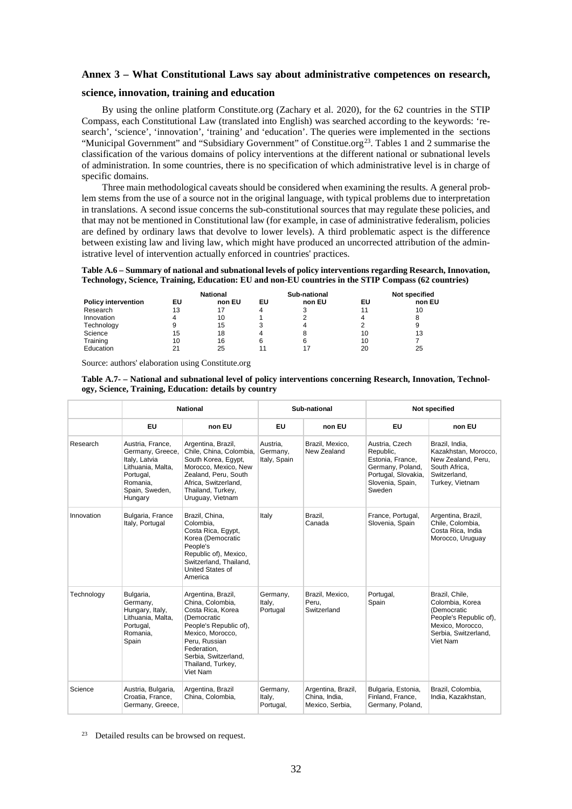## **Annex 3 – What Constitutional Laws say about administrative competences on research,**

# **science, innovation, training and education**

By using the online platform Constitute.org (Zachary et al. 2020), for the 62 countries in the STIP Compass, each Constitutional Law (translated into English) was searched according to the keywords: 'research', 'science', 'innovation', 'training' and 'education'. The queries were implemented in the sections "Municipal Government" and "Subsidiary Government" of Constitue.org<sup>23</sup>. Tables 1 and 2 summarise the classification of the various domains of policy interventions at the different national or subnational levels of administration. In some countries, there is no specification of which administrative level is in charge of specific domains.

Three main methodological caveats should be considered when examining the results. A general problem stems from the use of a source not in the original language, with typical problems due to interpretation in translations. A second issue concerns the sub-constitutional sources that may regulate these policies, and that may not be mentioned in Constitutional law (for example, in case of administrative federalism, policies are defined by ordinary laws that devolve to lower levels). A third problematic aspect is the difference between existing law and living law, which might have produced an uncorrected attribution of the administrative level of intervention actually enforced in countries' practices.

**Table A.6 – Summary of national and subnational levels of policy interventions regarding Research, Innovation, Technology, Science, Training, Education: EU and non-EU countries in the STIP Compass (62 countries)**

|                            |    | <b>National</b> |    | Sub-national |    | Not specified |
|----------------------------|----|-----------------|----|--------------|----|---------------|
| <b>Policy intervention</b> | EU | non EU          | EU | non EU       | EU | non EU        |
| Research                   | 13 | 17              | 4  |              | 11 | 10            |
| Innovation                 | 4  | 10              |    |              |    | 8             |
| Technology                 | 9  | 15              |    | 4            |    | 9             |
| Science                    | 15 | 18              |    | 8            | 10 | 13            |
| Training                   | 10 | 16              | 6  | 6            | 10 |               |
| Education                  | 21 | 25              |    | 17           | 20 | 25            |

Source: authors' elaboration using Constitute.org

| Table A.7- – National and subnational level of policy interventions concerning Research, Innovation, Technol- |  |
|---------------------------------------------------------------------------------------------------------------|--|
| ogy, Science, Training, Education: details by country                                                         |  |

|            | <b>National</b>                                                                                                                  |                                                                                                                                                                                                                   |                                      | Sub-national                                           | Not specified                                                                                                            |                                                                                                                                    |  |
|------------|----------------------------------------------------------------------------------------------------------------------------------|-------------------------------------------------------------------------------------------------------------------------------------------------------------------------------------------------------------------|--------------------------------------|--------------------------------------------------------|--------------------------------------------------------------------------------------------------------------------------|------------------------------------------------------------------------------------------------------------------------------------|--|
|            | <b>EU</b>                                                                                                                        | non EU                                                                                                                                                                                                            | EU                                   | non EU                                                 | <b>EU</b>                                                                                                                | non EU                                                                                                                             |  |
| Research   | Austria, France,<br>Germany, Greece,<br>Italy, Latvia<br>Lithuania, Malta,<br>Portugal,<br>Romania.<br>Spain, Sweden,<br>Hungary | Argentina, Brazil,<br>Chile, China, Colombia,<br>South Korea, Egypt,<br>Morocco, Mexico, New<br>Zealand, Peru, South<br>Africa, Switzerland,<br>Thailand, Turkey,<br>Uruguay, Vietnam                             | Austria,<br>Germany,<br>Italy, Spain | Brazil, Mexico,<br>New Zealand                         | Austria, Czech<br>Republic,<br>Estonia, France,<br>Germany, Poland,<br>Portugal, Slovakia,<br>Slovenia, Spain,<br>Sweden | Brazil, India,<br>Kazakhstan, Morocco,<br>New Zealand, Peru,<br>South Africa,<br>Switzerland.<br>Turkey, Vietnam                   |  |
| Innovation | Bulgaria, France<br>Italy, Portugal                                                                                              | Brazil, China,<br>Colombia.<br>Costa Rica, Egypt,<br>Korea (Democratic<br>People's<br>Republic of), Mexico,<br>Switzerland, Thailand,<br>United States of<br>America                                              | Italy                                | Brazil,<br>Canada                                      | France, Portugal,<br>Slovenia, Spain                                                                                     | Argentina, Brazil,<br>Chile, Colombia,<br>Costa Rica, India<br>Morocco, Uruguay                                                    |  |
| Technology | Bulgaria,<br>Germany,<br>Hungary, Italy,<br>Lithuania, Malta,<br>Portugal,<br>Romania.<br>Spain                                  | Argentina, Brazil,<br>China, Colombia,<br>Costa Rica, Korea<br>(Democratic<br>People's Republic of),<br>Mexico, Morocco,<br>Peru. Russian<br>Federation.<br>Serbia, Switzerland,<br>Thailand, Turkey,<br>Viet Nam | Germany,<br>Italy,<br>Portugal       | Brazil, Mexico,<br>Peru,<br>Switzerland                | Portugal,<br>Spain                                                                                                       | Brazil, Chile,<br>Colombia, Korea<br>(Democratic<br>People's Republic of),<br>Mexico, Morocco,<br>Serbia, Switzerland,<br>Viet Nam |  |
| Science    | Austria, Bulgaria,<br>Croatia, France,<br>Germany, Greece,                                                                       | Argentina, Brazil<br>China, Colombia,                                                                                                                                                                             | Germany,<br>Italy,<br>Portugal,      | Argentina, Brazil,<br>China, India,<br>Mexico, Serbia, | Bulgaria, Estonia,<br>Finland, France,<br>Germany, Poland,                                                               | Brazil, Colombia,<br>India, Kazakhstan,                                                                                            |  |

<span id="page-31-0"></span><sup>23</sup> Detailed results can be browsed on request.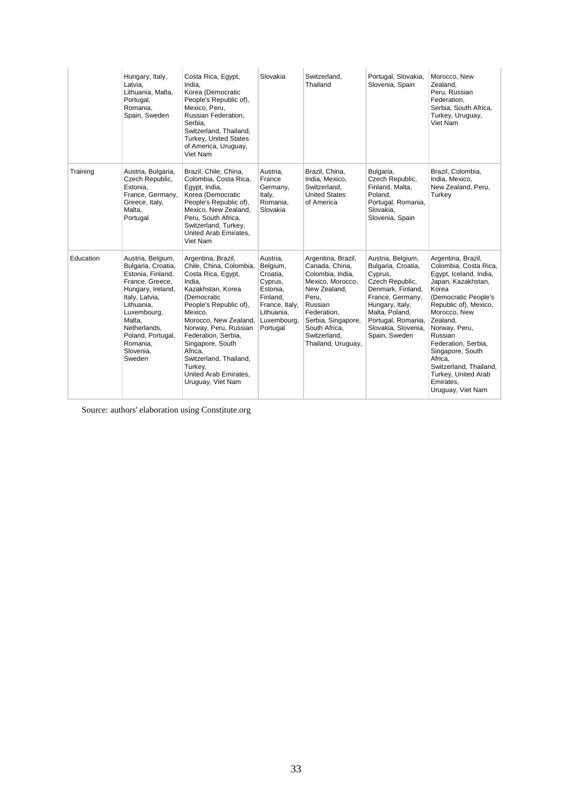|           | Hungary, Italy,<br>Latvia,<br>Lithuania, Malta,<br>Portugal,<br>Romania,<br>Spain, Sweden                                                                                                                                             | Costa Rica, Egypt,<br>India.<br>Korea (Democratic<br>People's Republic of),<br>Mexico, Peru,<br>Russian Federation,<br>Serbia.<br>Switzerland, Thailand,<br>Turkey, United States<br>of America, Uruguay,<br>Viet Nam                                                                                                                             | Slovakia                                                                                                                       | Switzerland.<br>Thailand                                                                                                                                                                                     | Portugal, Slovakia,<br>Slovenia, Spain                                                                                                                                                                            | Morocco, New<br>Zealand,<br>Peru, Russian<br>Federation,<br>Serbia, South Africa,<br>Turkey, Uruguay,<br>Viet Nam                                                                                                                                                                                                                                      |
|-----------|---------------------------------------------------------------------------------------------------------------------------------------------------------------------------------------------------------------------------------------|---------------------------------------------------------------------------------------------------------------------------------------------------------------------------------------------------------------------------------------------------------------------------------------------------------------------------------------------------|--------------------------------------------------------------------------------------------------------------------------------|--------------------------------------------------------------------------------------------------------------------------------------------------------------------------------------------------------------|-------------------------------------------------------------------------------------------------------------------------------------------------------------------------------------------------------------------|--------------------------------------------------------------------------------------------------------------------------------------------------------------------------------------------------------------------------------------------------------------------------------------------------------------------------------------------------------|
| Training  | Austria, Bulgaria,<br>Czech Republic,<br>Estonia.<br>France, Germany,<br>Greece, Italy,<br>Malta,<br>Portugal                                                                                                                         | Brazil, Chile, China,<br>Colombia, Costa Rica,<br>Eqypt, India,<br>Korea (Democratic<br>People's Republic of),<br>Mexico, New Zealand,<br>Peru, South Africa,<br>Switzerland, Turkey,<br>United Arab Emirates,<br>Viet Nam                                                                                                                        | Austria,<br>France<br>Germany,<br>Italy,<br>Romania,<br>Slovakia                                                               | Brazil, China,<br>India, Mexico,<br>Switzerland.<br><b>United States</b><br>of America                                                                                                                       | Bulgaria.<br>Czech Republic,<br>Finland, Malta,<br>Poland.<br>Portugal, Romania,<br>Slovakia,<br>Slovenia, Spain                                                                                                  | Brazil, Colombia,<br>India, Mexico,<br>New Zealand, Peru,<br>Turkey                                                                                                                                                                                                                                                                                    |
| Education | Austria, Belgium,<br>Bulgaria, Croatia,<br>Estonia, Finland,<br>France, Greece,<br>Hungary, Ireland,<br>Italy, Latvia,<br>Lithuania,<br>Luxembourg,<br>Malta,<br>Netherlands,<br>Poland, Portugal,<br>Romania,<br>Slovenia,<br>Sweden | Argentina, Brazil,<br>Chile, China, Colombia,<br>Costa Rica, Egypt,<br>India,<br>Kazakhstan, Korea<br>(Democratic<br>People's Republic of),<br>Mexico.<br>Morocco, New Zealand,<br>Norway, Peru, Russian<br>Federation, Serbia,<br>Singapore, South<br>Africa,<br>Switzerland, Thailand,<br>Turkey,<br>United Arab Emirates,<br>Uruguay, Viet Nam | Austria,<br>Belgium,<br>Croatia,<br>Cyprus,<br>Estonia,<br>Finland,<br>France, Italy,<br>Lithuania.<br>Luxembourg,<br>Portugal | Argentina, Brazil,<br>Canada, China,<br>Colombia, India,<br>Mexico, Morocco,<br>New Zealand,<br>Peru,<br>Russian<br>Federation,<br>Serbia, Singapore,<br>South Africa.<br>Switzerland,<br>Thailand, Uruguay, | Austria, Belgium,<br>Bulgaria, Croatia,<br>Cyprus,<br>Czech Republic,<br>Denmark, Finland,<br>France, Germany,<br>Hungary, Italy,<br>Malta, Poland,<br>Portugal, Romania,<br>Slovakia, Slovenia,<br>Spain, Sweden | Argentina, Brazil,<br>Colombia, Costa Rica,<br>Egypt, Iceland, India,<br>Japan, Kazakhstan,<br>Korea<br>(Democratic People's<br>Republic of), Mexico,<br>Morocco, New<br>Zealand,<br>Norway, Peru,<br>Russian<br>Federation, Serbia,<br>Singapore, South<br>Africa,<br>Switzerland, Thailand,<br>Turkey, United Arab<br>Emirates,<br>Uruguay, Viet Nam |

Source: authors' elaboration using Constitute.org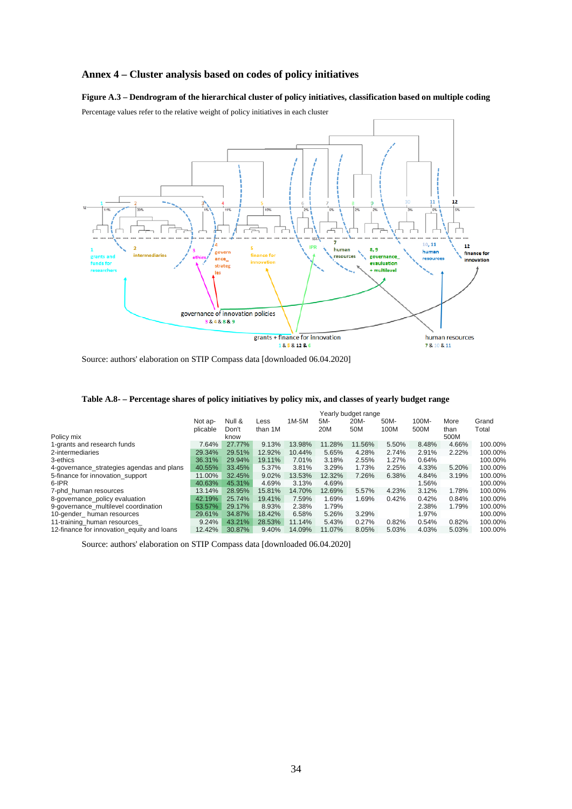# **Annex 4 – Cluster analysis based on codes of policy initiatives**

# **Figure A.3 – Dendrogram of the hierarchical cluster of policy initiatives, classification based on multiple coding**

Percentage values refer to the relative weight of policy initiatives in each cluster



Source: authors' elaboration on STIP Compass data [downloaded 06.04.2020]

|  | Table A.8- – Percentage shares of policy initiatives by policy mix, and classes of yearly budget range |  |  |  |  |  |  |
|--|--------------------------------------------------------------------------------------------------------|--|--|--|--|--|--|
|--|--------------------------------------------------------------------------------------------------------|--|--|--|--|--|--|

|                                            | Yearly budget range |        |         |         |        |        |       |       |       |         |
|--------------------------------------------|---------------------|--------|---------|---------|--------|--------|-------|-------|-------|---------|
|                                            | Not ap-             | Null & | Less    | $1M-5M$ | 5M-    | 20M-   | 50M-  | 100M- | More  | Grand   |
|                                            | plicable            | Don't  | than 1M |         | 20M    | 50M    | 100M  | 500M  | than  | Total   |
| Policy mix                                 |                     | know   |         |         |        |        |       |       | 500M  |         |
| 1-grants and research funds                | 7.64%               | 27.77% | 9.13%   | 13.98%  | 11.28% | 11.56% | 5.50% | 8.48% | 4.66% | 100.00% |
| 2-intermediaries                           | 29.34%              | 29.51% | 12.92%  | 10.44%  | 5.65%  | 4.28%  | 2.74% | 2.91% | 2.22% | 100.00% |
| 3-ethics                                   | 36.31%              | 29.94% | 19.11%  | 7.01%   | 3.18%  | 2.55%  | 1.27% | 0.64% |       | 100.00% |
| 4-governance_strategies agendas and plans  | 40.55%              | 33.45% | 5.37%   | 3.81%   | 3.29%  | 1.73%  | 2.25% | 4.33% | 5.20% | 100.00% |
| 5-finance for innovation support           | 11.00%              | 32.45% | 9.02%   | 13.53%  | 12.32% | 7.26%  | 6.38% | 4.84% | 3.19% | 100.00% |
| 6-IPR                                      | 40.63%              | 45.31% | 4.69%   | 3.13%   | 4.69%  |        |       | 1.56% |       | 100.00% |
| 7-phd human resources                      | 13.14%              | 28.95% | 15.81%  | 14.70%  | 12.69% | 5.57%  | 4.23% | 3.12% | 1.78% | 100.00% |
| 8-governance policy evaluation             | 42.19%              | 25.74% | 19.41%  | 7.59%   | 1.69%  | 1.69%  | 0.42% | 0.42% | 0.84% | 100.00% |
| 9-governance multilevel coordination       | 53.57%              | 29.17% | 8.93%   | 2.38%   | 1.79%  |        |       | 2.38% | 1.79% | 100.00% |
| 10-gender human resources                  | 29.61%              | 34.87% | 18.42%  | 6.58%   | 5.26%  | 3.29%  |       | 1.97% |       | 100.00% |
| 11-training human resources                | 9.24%               | 43.21% | 28.53%  | 11.14%  | 5.43%  | 0.27%  | 0.82% | 0.54% | 0.82% | 100.00% |
| 12-finance for innovation equity and loans | 12.42%              | 30.87% | 9.40%   | 14.09%  | 11.07% | 8.05%  | 5.03% | 4.03% | 5.03% | 100.00% |
|                                            |                     |        |         |         |        |        |       |       |       |         |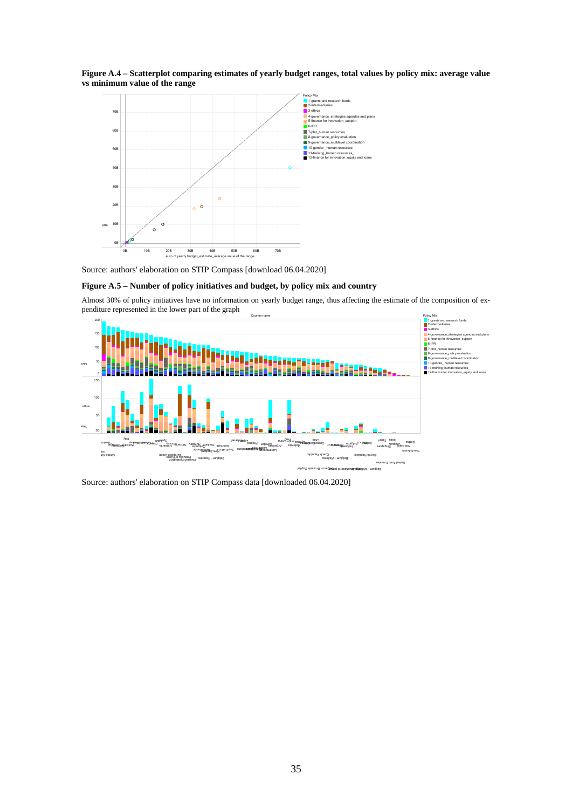



Source: authors' elaboration on STIP Compass [download 06.04.2020]

## **Figure A.5 – Number of policy initiatives and budget, by policy mix and country**

Almost 30% of policy initiatives have no information on yearly budget range, thus affecting the estimate of the composition of expenditure represented in the lower part of the graph



Source: authors' elaboration on STIP Compass data [downloaded 06.04.2020]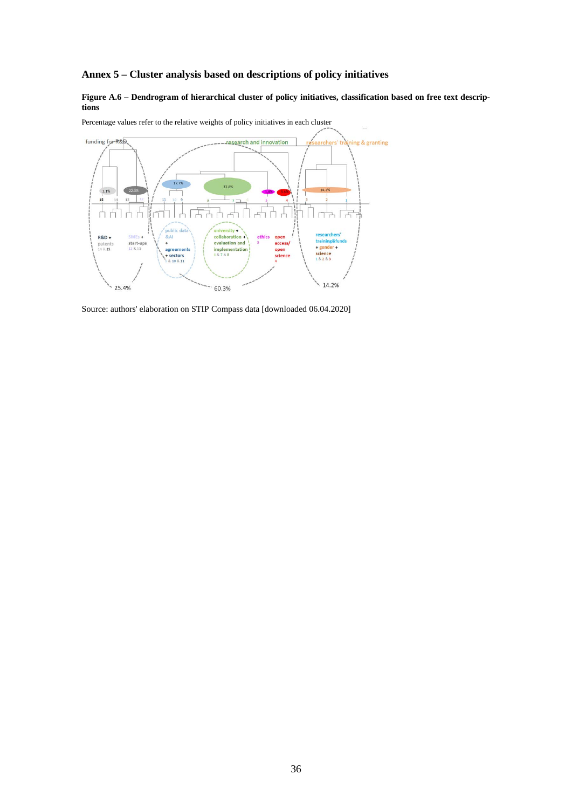# **Annex 5 – Cluster analysis based on descriptions of policy initiatives**

## **Figure A.6 – Dendrogram of hierarchical cluster of policy initiatives, classification based on free text descriptions**



Percentage values refer to the relative weights of policy initiatives in each cluster

Source: authors' elaboration on STIP Compass data [downloaded 06.04.2020]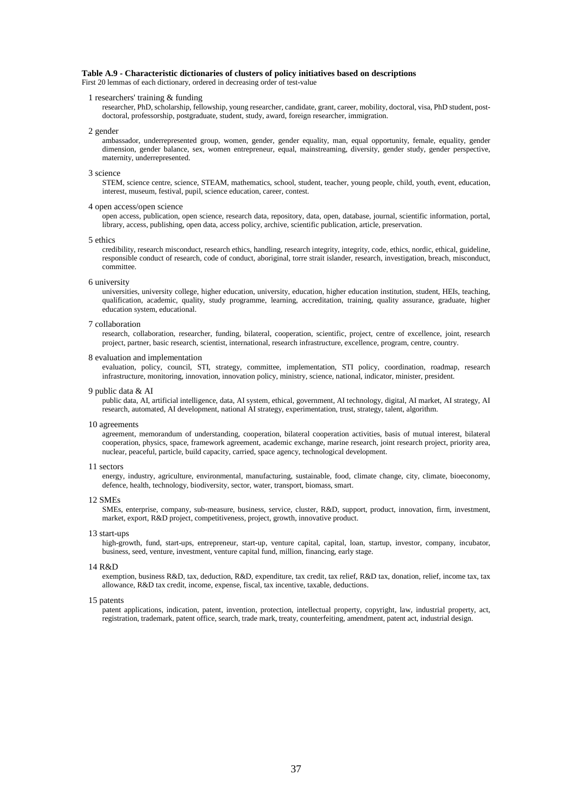## **Table A.9 - Characteristic dictionaries of clusters of policy initiatives based on descriptions**

First 20 lemmas of each dictionary, ordered in decreasing order of test-value

### 1 researchers' training & funding

researcher, PhD, scholarship, fellowship, young researcher, candidate, grant, career, mobility, doctoral, visa, PhD student, postdoctoral, professorship, postgraduate, student, study, award, foreign researcher, immigration.

2 gender

ambassador, underrepresented group, women, gender, gender equality, man, equal opportunity, female, equality, gender dimension, gender balance, sex, women entrepreneur, equal, mainstreaming, diversity, gender study, gender perspective, maternity, underrepresented.

#### 3 science

STEM, science centre, science, STEAM, mathematics, school, student, teacher, young people, child, youth, event, education, interest, museum, festival, pupil, science education, career, contest.

### 4 open access/open science

open access, publication, open science, research data, repository, data, open, database, journal, scientific information, portal, library, access, publishing, open data, access policy, archive, scientific publication, article, preservation.

5 ethics

credibility, research misconduct, research ethics, handling, research integrity, integrity, code, ethics, nordic, ethical, guideline, responsible conduct of research, code of conduct, aboriginal, torre strait islander, research, investigation, breach, misconduct, committee.

#### 6 university

universities, university college, higher education, university, education, higher education institution, student, HEIs, teaching, qualification, academic, quality, study programme, learning, accreditation, training, quality assurance, graduate, higher education system, educational.

#### 7 collaboration

research, collaboration, researcher, funding, bilateral, cooperation, scientific, project, centre of excellence, joint, research project, partner, basic research, scientist, international, research infrastructure, excellence, program, centre, country.

#### 8 evaluation and implementation

evaluation, policy, council, STI, strategy, committee, implementation, STI policy, coordination, roadmap, research infrastructure, monitoring, innovation, innovation policy, ministry, science, national, indicator, minister, president.

#### 9 public data & AI

public data, AI, artificial intelligence, data, AI system, ethical, government, AI technology, digital, AI market, AI strategy, AI research, automated, AI development, national AI strategy, experimentation, trust, strategy, talent, algorithm.

#### 10 agreements

agreement, memorandum of understanding, cooperation, bilateral cooperation activities, basis of mutual interest, bilateral cooperation, physics, space, framework agreement, academic exchange, marine research, joint research project, priority area, nuclear, peaceful, particle, build capacity, carried, space agency, technological development.

#### 11 sectors

energy, industry, agriculture, environmental, manufacturing, sustainable, food, climate change, city, climate, bioeconomy, defence, health, technology, biodiversity, sector, water, transport, biomass, smart.

#### 12 SMEs

SMEs, enterprise, company, sub-measure, business, service, cluster, R&D, support, product, innovation, firm, investment, market, export, R&D project, competitiveness, project, growth, innovative product.

13 start-ups

high-growth, fund, start-ups, entrepreneur, start-up, venture capital, capital, loan, startup, investor, company, incubator, business, seed, venture, investment, venture capital fund, million, financing, early stage.

#### 14 R&D

exemption, business R&D, tax, deduction, R&D, expenditure, tax credit, tax relief, R&D tax, donation, relief, income tax, tax allowance, R&D tax credit, income, expense, fiscal, tax incentive, taxable, deductions.

#### 15 patents

patent applications, indication, patent, invention, protection, intellectual property, copyright, law, industrial property, act, registration, trademark, patent office, search, trade mark, treaty, counterfeiting, amendment, patent act, industrial design.